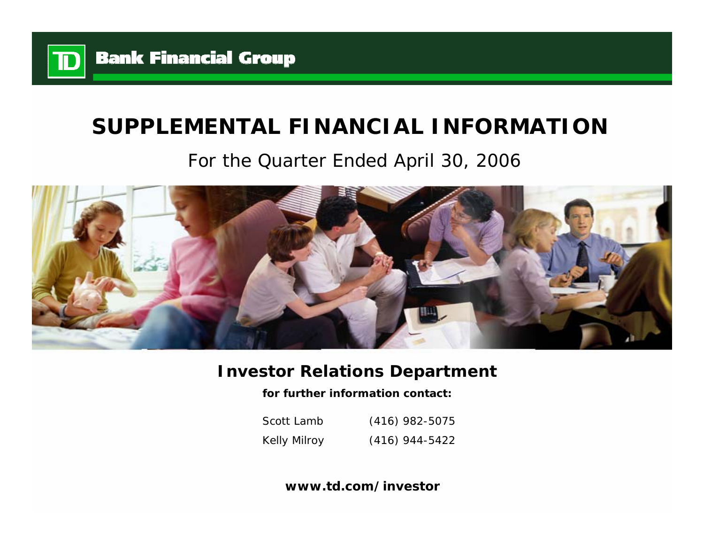

# **SUPPLEMENTAL FINANCIAL INFORMATION**

# For the Quarter Ended April 30, 2006



## **Investor Relations Department**

**for further information contact:**

Scott LambKelly Milroy (416) 982-5075 (416) 944-5422

**www.td.com/investor**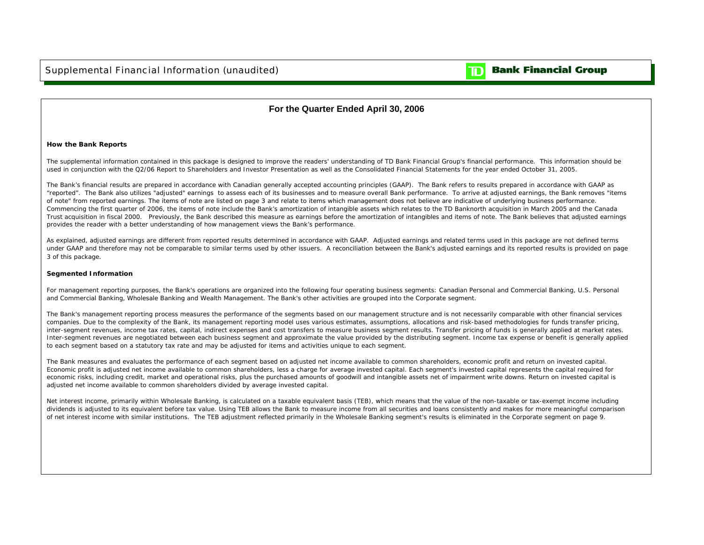

### **Bank Financial Group**

#### **For the Quarter Ended April 30, 2006**

#### **How the Bank Reports**

The supplemental information contained in this package is designed to improve the readers' understanding of TD Bank Financial Group's financial performance. This information should be used in conjunction with the Q2/06 Report to Shareholders and Investor Presentation as well as the Consolidated Financial Statements for the year ended October 31, 2005.

The Bank's financial results are prepared in accordance with Canadian generally accepted accounting principles (GAAP). The Bank refers to results prepared in accordance with GAAP as "reported". The Bank also utilizes "adjusted" earnings to assess each of its businesses and to measure overall Bank performance. To arrive at adjusted earnings, the Bank removes "items of note" from reported earnings. The items of note are listed on page 3 and relate to items which management does not believe are indicative of underlying business performance. Commencing the first quarter of 2006, the items of note include the Bank's amortization of intangible assets which relates to the TD Banknorth acquisition in March 2005 and the Canada Trust acquisition in fiscal 2000. Previously, the Bank described this measure as earnings before the amortization of intangibles and items of note. The Bank believes that adjusted earnings provides the reader with a better understanding of how management views the Bank's performance.

As explained, adjusted earnings are different from reported results determined in accordance with GAAP. Adjusted earnings and related terms used in this package are not defined terms under GAAP and therefore may not be comparable to similar terms used by other issuers. A reconciliation between the Bank's adjusted earnings and its reported results is provided on page 3 of this package.

#### **Segmented Information**

For management reporting purposes, the Bank's operations are organized into the following four operating business segments: Canadian Personal and Commercial Banking, U.S. Personal and Commercial Banking, Wholesale Banking and Wealth Management. The Bank's other activities are grouped into the Corporate segment.

The Bank's management reporting process measures the performance of the segments based on our management structure and is not necessarily comparable with other financial services companies. Due to the complexity of the Bank, its management reporting model uses various estimates, assumptions, allocations and risk-based methodologies for funds transfer pricing, inter-segment revenues, income tax rates, capital, indirect expenses and cost transfers to measure business segment results. Transfer pricing of funds is generally applied at market rates. Inter-segment revenues are negotiated between each business segment and approximate the value provided by the distributing segment. Income tax expense or benefit is generally applied to each segment based on a statutory tax rate and may be adjusted for items and activities unique to each segment.

The Bank measures and evaluates the performance of each segment based on adjusted net income available to common shareholders, economic profit and return on invested capital. Economic profit is adjusted net income available to common shareholders, less a charge for average invested capital. Each segment's invested capital represents the capital required for economic risks, including credit, market and operational risks, plus the purchased amounts of goodwill and intangible assets net of impairment write downs. Return on invested capital is adjusted net income available to common shareholders divided by average invested capital.

Net interest income, primarily within Wholesale Banking, is calculated on a taxable equivalent basis (TEB), which means that the value of the non-taxable or tax-exempt income including dividends is adjusted to its equivalent before tax value. Using TEB allows the Bank to measure income from all securities and loans consistently and makes for more meaningful comparison of net interest income with similar institutions. The TEB adjustment reflected primarily in the Wholesale Banking segment's results is eliminated in the Corporate segment on page 9.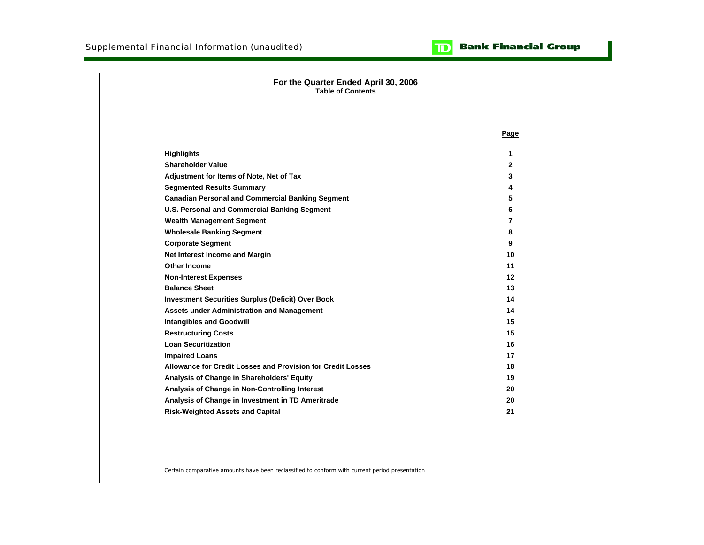#### **Bank Financial Group**  $\mathbf{D}$

| For the Quarter Ended April 30, 2006<br><b>Table of Contents</b> |      |
|------------------------------------------------------------------|------|
|                                                                  | Page |
| <b>Highlights</b>                                                | 1    |
| <b>Shareholder Value</b>                                         | 2    |
| Adjustment for Items of Note, Net of Tax                         | 3    |
| <b>Segmented Results Summary</b>                                 | 4    |
| <b>Canadian Personal and Commercial Banking Segment</b>          | 5    |
| U.S. Personal and Commercial Banking Segment                     | 6    |
| <b>Wealth Management Segment</b>                                 | 7    |
| <b>Wholesale Banking Segment</b>                                 | 8    |
| <b>Corporate Segment</b>                                         | 9    |
| Net Interest Income and Margin                                   | 10   |
| <b>Other Income</b>                                              | 11   |
| <b>Non-Interest Expenses</b>                                     | 12   |
| <b>Balance Sheet</b>                                             | 13   |
| <b>Investment Securities Surplus (Deficit) Over Book</b>         | 14   |
| Assets under Administration and Management                       | 14   |
| <b>Intangibles and Goodwill</b>                                  | 15   |
| <b>Restructuring Costs</b>                                       | 15   |
| <b>Loan Securitization</b>                                       | 16   |
| <b>Impaired Loans</b>                                            | 17   |
| Allowance for Credit Losses and Provision for Credit Losses      | 18   |
| Analysis of Change in Shareholders' Equity                       | 19   |
| Analysis of Change in Non-Controlling Interest                   | 20   |
| Analysis of Change in Investment in TD Ameritrade                | 20   |
| <b>Risk-Weighted Assets and Capital</b>                          | 21   |

Certain comparative amounts have been reclassified to conform with current period presentation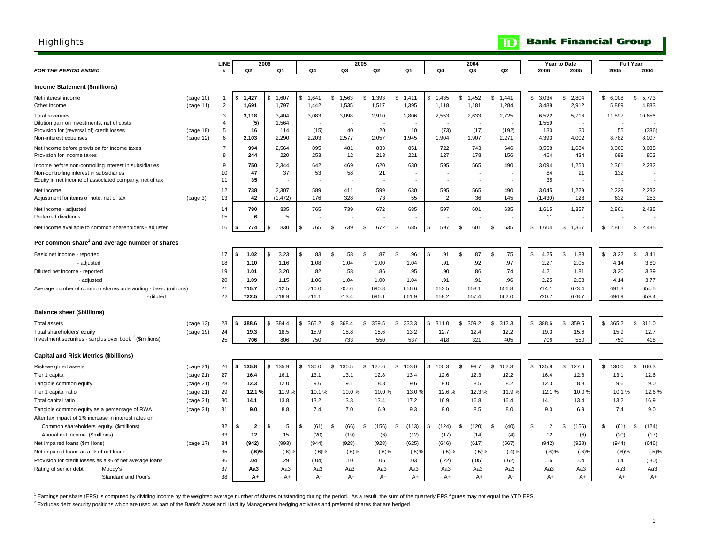<span id="page-3-0"></span>

| <b>Highlights</b>                                                                                  |                        |                     |                |                |               |             |                |             |                |               | $\mathbf{D}% _{T}=\mathbf{D}_{T}\times\mathbf{D}_{T}$ |                      | <b>Bank Financial Group</b> |              |                  |
|----------------------------------------------------------------------------------------------------|------------------------|---------------------|----------------|----------------|---------------|-------------|----------------|-------------|----------------|---------------|-------------------------------------------------------|----------------------|-----------------------------|--------------|------------------|
|                                                                                                    |                        |                     |                |                |               |             |                |             |                |               |                                                       |                      |                             |              |                  |
|                                                                                                    |                        | LINE                |                | 2006           |               |             | 2005           |             |                | 2004          |                                                       |                      | Year to Date                |              | <b>Full Year</b> |
| <b>FOR THE PERIOD ENDED</b>                                                                        |                        |                     | Q2             | Q <sub>1</sub> | Q4            | Q3          | Q <sub>2</sub> | Q1          | Q4             | Q3            | Q <sub>2</sub>                                        | 2006                 | 2005                        | 2005         | 2004             |
| <b>Income Statement (\$millions)</b>                                                               |                        |                     |                |                |               |             |                |             |                |               |                                                       |                      |                             |              |                  |
| Net interest income                                                                                | (page 10)              | -1                  | 1,427<br>\$    | 1,607<br>\$.   | \$<br>1,641   | \$1,563     | \$<br>1,393    | \$1,411     | \$1,435        | \$1,452       | \$<br>1,441                                           | \$<br>3,034          | \$<br>2,804                 | \$<br>6,008  | \$<br>5,773      |
| Other income                                                                                       | (page 11)              | $\overline{2}$      | 1,691          | 1,797          | 1,442         | 1,535       | 1,517          | 1,395       | 1,118          | 1,181         | 1,284                                                 | 3,488                | 2,912                       | 5,889        | 4,883            |
| Total revenues                                                                                     |                        | 3                   | 3,118          | 3,404          | 3,083         | 3,098       | 2,910          | 2,806       | 2,553          | 2,633         | 2,725                                                 | 6,522                | 5,716                       | 11,897       | 10,656           |
| Dilution gain on investments, net of costs                                                         |                        | $\overline{4}$      | (5)            | 1,564          |               |             |                |             |                |               |                                                       | 1,559                |                             |              |                  |
| Provision for (reversal of) credit losses<br>Non-interest expenses                                 | (page 18)<br>(page 12) | 5<br>6              | 16<br>2,103    | 114<br>2,290   | (15)<br>2,203 | 40<br>2,577 | 20<br>2,057    | 10<br>1,945 | (73)<br>1,904  | (17)<br>1,907 | (192)<br>2,271                                        | 130<br>4,393         | 30<br>4,002                 | 55<br>8,782  | (386)<br>8,007   |
|                                                                                                    |                        |                     |                | 2,564          |               |             |                |             |                |               |                                                       |                      |                             |              | 3,035            |
| Net income before provision for income taxes<br>Provision for income taxes                         |                        | $\overline{7}$<br>8 | 994<br>244     | 220            | 895<br>253    | 481<br>12   | 833<br>213     | 851<br>221  | 722<br>127     | 743<br>178    | 646<br>156                                            | 3,558<br>464         | 1,684<br>434                | 3,060<br>699 | 803              |
| Income before non-controlling interest in subsidiaries                                             |                        | 9                   | 750            | 2,344          | 642           | 469         | 620            | 630         | 595            | 565           | 490                                                   | 3,094                | 1,250                       | 2,361        | 2,232            |
| Non-controlling interest in subsidiaries<br>Equity in net income of associated company, net of tax |                        | 10<br>11            | 47<br>35       | 37             | 53            | 58          | 21             |             |                |               |                                                       | 84<br>35             | 21                          | 132          |                  |
| Net income                                                                                         |                        | 12                  | 738            | 2,307          | 589           | 411         | 599            | 630         | 595            | 565           | 490                                                   | 3,045                | 1,229                       | 2,229        | 2,232            |
| Adjustment for items of note, net of tax                                                           | (page 3)               | 13                  | 42             | (1, 472)       | 176           | 328         | 73             | 55          | $\overline{2}$ | 36            | 145                                                   | (1,430)              | 128                         | 632          | 253              |
| Net income - adjusted<br>Preferred dividends                                                       |                        | 14<br>15            | 780<br>6       | 835<br>5       | 765           | 739         | 672            | 685         | 597            | 601           | 635                                                   | 1,615<br>11          | 1,357                       | 2,861        | 2,485            |
|                                                                                                    |                        |                     |                |                |               |             |                |             |                |               |                                                       |                      |                             | \$.          |                  |
| Net income available to common shareholders - adjusted                                             |                        | 16                  | 774            | 830<br>\$      | 765<br>\$     | \$<br>739   | \$<br>672      | \$<br>685   | \$<br>597      | 601<br>\$     | 635<br>\$                                             | \$<br>1,604          | 1,357<br>\$                 | 2,861        | 2,485<br>\$      |
| Per common share <sup>1</sup> and average number of shares                                         |                        |                     |                |                |               |             |                |             |                |               |                                                       |                      |                             |              |                  |
| Basic net income - reported                                                                        |                        | 17                  | \$<br>1.02     | \$<br>3.23     | \$<br>.83     | \$<br>.58   | \$<br>.87      | \$<br>.96   | \$<br>.91      | \$<br>.87     | $\mathfrak{s}$<br>.75                                 | \$<br>4.25           | \$<br>1.83                  | \$<br>3.22   | \$<br>3.41       |
| - adjusted                                                                                         |                        | 18                  | 1.10           | 1.16           | 1.08          | 1.04        | 1.00           | 1.04        | .91            | .92           | .97                                                   | 2.27                 | 2.05                        | 4.14         | 3.80             |
| Diluted net income - reported                                                                      |                        | 19                  | 1.01           | 3.20           | .82           | .58         | .86            | .95         | .90            | .86           | .74                                                   | 4.21                 | 1.81                        | 3.20         | 3.39             |
| - adjusted                                                                                         |                        | 20                  | 1.09           | 1.15           | 1.06          | 1.04        | 1.00           | 1.04        | .91            | .91           | .96                                                   | 2.25                 | 2.03                        | 4.14         | 3.77             |
| Average number of common shares outstanding - basic (millions)                                     |                        | 21                  | 715.7          | 712.5          | 710.0         | 707.6       | 690.8          | 656.6       | 653.5          | 653.1         | 656.8                                                 | 714.1                | 673.4                       | 691.3        | 654.5            |
| - diluted                                                                                          |                        | 22                  | 722.5          | 718.9          | 716.1         | 713.4       | 696.1          | 661.9       | 658.2          | 657.4         | 662.0                                                 | 720.7                | 678.7                       | 696.9        | 659.4            |
| <b>Balance sheet (\$billions)</b>                                                                  |                        |                     |                |                |               |             |                |             |                |               |                                                       |                      |                             |              |                  |
| <b>Total assets</b>                                                                                | (page 13)              | 23                  | 388.6<br>Ŝ.    | \$<br>384.4    | 365.2<br>\$   | 368.4<br>\$ | 359.5<br>\$    | \$<br>333.3 | \$311.0        | 309.2<br>\$   | 312.3<br>\$                                           | \$<br>388.6          | 359.5<br>S.                 | \$<br>365.2  | 311.0<br>\$      |
| Total shareholders' equity                                                                         | (page 19)              | 24                  | 19.3           | 18.5           | 15.9          | 15.8        | 15.6           | 13.2        | 12.7           | 12.4          | 12.2                                                  | 19.3                 | 15.6                        | 15.9         | 12.7             |
| Investment securities - surplus over book $2$ (\$millions)                                         |                        | 25                  | 706            | 806            | 750           | 733         | 550            | 537         | 418            | 321           | 405                                                   | 706                  | 550                         | 750          | 418              |
| <b>Capital and Risk Metrics (\$billions)</b>                                                       |                        |                     |                |                |               |             |                |             |                |               |                                                       |                      |                             |              |                  |
| Risk-weighted assets                                                                               | (page 21)              | 26                  | 135.8<br>Ŝ.    | \$<br>135.9    | 130.0<br>\$   | \$<br>130.5 | \$<br>127.6    | s.<br>103.0 | \$<br>100.3    | 99.7<br>\$    | \$<br>102.3                                           | \$<br>135.8          | 127.6<br>\$                 | 130.0<br>\$  | \$<br>100.3      |
| Tier 1 capital                                                                                     | (page 21)              | 27                  | 16.4           | 16.1           | 13.1          | 13.1        | 12.8           | 13.4        | 12.6           | 12.3          | 12.2                                                  | 16.4                 | 12.8                        | 13.1         | 12.6             |
| Tangible common equity                                                                             | (page 21)              | 28                  | 12.3           | 12.0           | 9.6           | 9.1         | 8.8            | 9.6         | 9.0            | 8.5           | 8.2                                                   | 12.3                 | 8.8                         | 9.6          | 9.0              |
| Tier 1 capital ratio                                                                               | (page 21)              | 29                  | 12.1%          | 11.9 %         | 10.1%         | 10.0%       | 10.0%          | 13.0%       | 12.6%          | 12.3%         | 11.9%                                                 | 12.1%                | 10.0%                       | 10.1%        | 12.6%            |
| Total capital ratio                                                                                | (page 21)              | 30                  | 14.1           | 13.8           | 13.2          | 13.3        | 13.4           | 17.2        | 16.9           | 16.8          | 16.4                                                  | 14.1                 | 13.4                        | 13.2         | 16.9             |
| Tangible common equity as a percentage of RWA                                                      | (page 21)              | 31                  | 9.0            | 8.8            | 7.4           | 7.0         | 6.9            | 9.3         | 9.0            | 8.5           | 8.0                                                   | 9.0                  | 6.9                         | 7.4          | 9.0              |
| After tax impact of 1% increase in interest rates on                                               |                        |                     |                |                |               |             |                |             |                |               |                                                       |                      |                             |              |                  |
| Common shareholders' equity (\$millions)                                                           |                        | 32                  | $\overline{2}$ | \$<br>5        | \$<br>(61)    | \$<br>(66)  | S<br>(156)     | (113)<br>S  | \$<br>(124)    | (120)         | -\$<br>(40)                                           | \$<br>$\overline{2}$ | (156)<br>\$.                | \$<br>(61)   | -\$<br>(124)     |
| Annual net income (\$millions)                                                                     |                        | 33                  | 12             | 15             | (20)          | (19)        | (6)            | (12)        | (17)           | (14)          | (4)                                                   | 12                   | (6)                         | (20)         | (17)             |
| Net impaired loans (\$millions)                                                                    | (page 17)              | 34                  | (942)          | (993)          | (944)         | (928)       | (928)          | (625)       | (646)          | (617)         | (567)                                                 | (942)                | (928)                       | (944)        | (646)            |
| Net impaired loans as a % of net loans                                                             |                        | 35                  | (.6)%          | (.6)%          | $(.6)$ %      | $(.6)$ %    | $(.6)$ %       | $(.5)$ %    | (.5)%          | (.5)%         | (.4)%                                                 |                      | $(.6)$ %<br>$(.6)$ %        | $(.6)$ %     | (.5)%            |
| Provision for credit losses as a % of net average loans                                            |                        | 36                  | .04            | .29            | (.04)         | .10         | .06            | .03         | (.22)          | (.05)         | (.62)                                                 | .16                  | .04                         | .04          | (.30)            |
| Rating of senior debt:<br>Moody's                                                                  |                        | 37                  | Aa3            | Aa3            | Aa3           | Aa3         | Aa3            | Aa3         | Aa3            | Aa3           | Aa3                                                   | Aa3                  | Aa3                         | Aa3          | Aa3              |
| Standard and Poor's                                                                                |                        | 38                  | $A+$           | $A+$           | $A+$          | $A+$        | $A+$           | $A+$        | $A+$           | $A+$          | $A+$                                                  | $A+$                 | $A+$                        | $A+$         | $A+$             |

<sup>1</sup> Earnings per share (EPS) is computed by dividing income by the weighted average number of shares outstanding during the period. As a result, the sum of the quarterly EPS figures may not equal the YTD EPS.

 $^2$  Excludes debt security positions which are used as part of the Bank's Asset and Liability Management hedging activities and preferred shares that are hedged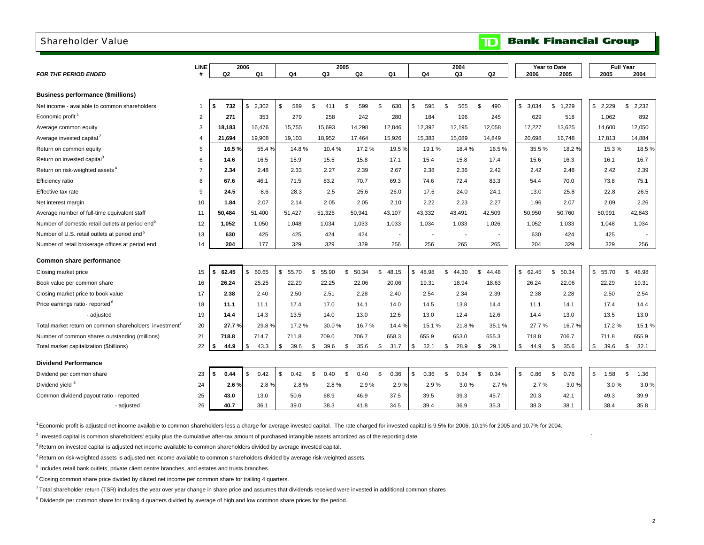#### <span id="page-4-0"></span>Shareholder Value

|                                                              | <b>LINE</b>    |             | 2006           |                      |                       | 2005                  |                       |                        | 2004         |                       |             | Year to Date          |            | <b>Full Year</b> |
|--------------------------------------------------------------|----------------|-------------|----------------|----------------------|-----------------------|-----------------------|-----------------------|------------------------|--------------|-----------------------|-------------|-----------------------|------------|------------------|
| <b>FOR THE PERIOD ENDED</b>                                  | #              | Q2          | Q <sub>1</sub> | Q4                   | Q3                    | Q2                    | Q1                    | Q4                     | Q3           | Q2                    | 2006        | 2005                  | 2005       | 2004             |
|                                                              |                |             |                |                      |                       |                       |                       |                        |              |                       |             |                       |            |                  |
| <b>Business performance (\$millions)</b>                     |                |             |                |                      |                       |                       |                       |                        |              |                       |             |                       |            |                  |
| Net income - available to common shareholders                | -1             | 732<br>- \$ | \$<br>2,302    | 589<br><sup>\$</sup> | $\mathfrak{L}$<br>411 | $\mathfrak{L}$<br>599 | $\mathfrak{F}$<br>630 | 595<br>$\mathfrak{L}$  | \$<br>565    | $\mathfrak{L}$<br>490 | \$<br>3.034 | \$<br>1,229           | \$2.229    | \$<br>2,232      |
| Economic profit <sup>1</sup>                                 | $\overline{2}$ | 271         | 353            | 279                  | 258                   | 242                   | 280                   | 184                    | 196          | 245                   | 629         | 518                   | 1,062      | 892              |
| Average common equity                                        | 3              | 18,183      | 16.476         | 15,755               | 15,693                | 14,298                | 12,846                | 12,392                 | 12,195       | 12,058                | 17,227      | 13,625                | 14,600     | 12,050           |
| Average invested capital <sup>2</sup>                        | $\overline{4}$ | 21,694      | 19,908         | 19,103               | 18,952                | 17,464                | 15,926                | 15,383                 | 15,089       | 14,849                | 20,698      | 16,748                | 17,813     | 14,884           |
| Return on common equity                                      | 5              | 16.5%       | 55.4%          | 14.8%                | 10.4%                 | 17.2 %                | 19.5%                 | 19.1%                  | 18.4%        | 16.5%                 | 35.5%       | 18.2%                 | 15.3%      | 18.5%            |
| Return on invested capital <sup>3</sup>                      | 6              | 14.6        | 16.5           | 15.9                 | 15.5                  | 15.8                  | 17.1                  | 15.4                   | 15.8         | 17.4                  | 15.6        | 16.3                  | 16.1       | 16.7             |
| Return on risk-weighted assets <sup>4</sup>                  | $\overline{7}$ | 2.34        | 2.48           | 2.33                 | 2.27                  | 2.39                  | 2.67                  | 2.38                   | 2.36         | 2.42                  | 2.42        | 2.48                  | 2.42       | 2.39             |
| Efficiency ratio                                             | 8              | 67.6        | 46.1           | 71.5                 | 83.2                  | 70.7                  | 69.3                  | 74.6                   | 72.4         | 83.3                  | 54.4        | 70.0                  | 73.8       | 75.1             |
| Effective tax rate                                           | 9              | 24.5        | 8.6            | 28.3                 | 2.5                   | 25.6                  | 26.0                  | 17.6                   | 24.0         | 24.1                  | 13.0        | 25.8                  | 22.8       | 26.5             |
| Net interest margin                                          | 10             | 1.84        | 2.07           | 2.14                 | 2.05                  | 2.05                  | 2.10                  | 2.22                   | 2.23         | 2.27                  | 1.96        | 2.07                  | 2.09       | 2.26             |
| Average number of full-time equivalent staff                 | 11             | 50,484      | 51,400         | 51,427               | 51,326                | 50,941                | 43,107                | 43,332                 | 43,491       | 42,509                | 50,950      | 50,760                | 50,991     | 42,843           |
| Number of domestic retail outlets at period end <sup>5</sup> | 12             | 1,052       | 1.050          | 1.048                | 1,034                 | 1,033                 | 1,033                 | 1,034                  | 1,033        | 1,026                 | 1,052       | 1,033                 | 1.048      | 1,034            |
| Number of U.S. retail outlets at period end <sup>5</sup>     | 13             | 630         | 425            | 425                  | 424                   | 424                   | $\overline{a}$        |                        |              |                       | 630         | 424                   | 425        |                  |
| Number of retail brokerage offices at period end             | 14             | 204         | 177            | 329                  | 329                   | 329                   | 256                   | 256                    | 265          | 265                   | 204         | 329                   | 329        | 256              |
| Common share performance                                     |                |             |                |                      |                       |                       |                       |                        |              |                       |             |                       |            |                  |
| Closing market price                                         | 15             | 62.45<br>\$ | 60.65<br>\$    | \$<br>55.70          | \$<br>55.90           | \$.<br>50.34          | \$.<br>48.15          | \$<br>48.98            | \$.<br>44.30 | \$<br>44.48           | \$62.45     | $\mathbb{S}$<br>50.34 | \$55.70    | \$<br>48.98      |
| Book value per common share                                  | 16             | 26.24       | 25.25          | 22.29                | 22.25                 | 22.06                 | 20.06                 | 19.31                  | 18.94        | 18.63                 | 26.24       | 22.06                 | 22.29      | 19.31            |
| Closing market price to book value                           | 17             | 2.38        | 2.40           | 2.50                 | 2.51                  | 2.28                  | 2.40                  | 2.54                   | 2.34         | 2.39                  | 2.38        | 2.28                  | 2.50       | 2.54             |
| Price earnings ratio-reported <sup>o</sup>                   | 18             | 11.1        | 11.1           | 17.4                 | 17.0                  | 14.1                  | 14.0                  | 14.5                   | 13.8         | 14.4                  | 11.1        | 14.1                  | 17.4       | 14.4             |
| - adjusted                                                   | 19             | 14.4        | 14.3           | 13.5                 | 14.0                  | 13.0                  | 12.6                  | 13.0                   | 12.4         | 12.6                  | 14.4        | 13.0                  | 13.5       | 13.0             |
| Total market return on common shareholders' investment'      | 20             | 27.7%       | 29.8%          | 17.2%                | 30.0%                 | 16.7%                 | 14.4 %                | 15.1%                  | 21.8%        | 35.1%                 | 27.7%       | 16.7%                 | 17.2%      | 15.1%            |
| Number of common shares outstanding (millions)               | 21             | 718.8       | 714.7          | 711.8                | 709.0                 | 706.7                 | 658.3                 | 655.9                  | 653.0        | 655.3                 | 718.8       | 706.7                 | 711.8      | 655.9            |
| Total market capitalization (\$billions)                     | 22             | 44.9<br>\$  | 43.3<br>- \$   | \$<br>39.6           | \$<br>39.6            | \$<br>35.6            | \$<br>31.7            | \$<br>32.1             | \$<br>28.9   | \$<br>29.1            | \$<br>44.9  | -\$<br>35.6           | \$<br>39.6 | \$<br>32.1       |
|                                                              |                |             |                |                      |                       |                       |                       |                        |              |                       |             |                       |            |                  |
| <b>Dividend Performance</b>                                  |                |             |                |                      |                       |                       |                       |                        |              |                       |             |                       |            |                  |
| Dividend per common share                                    | 23             | 0.44<br>Ŝ.  | 0.42<br>\$     | 0.42<br>\$           | \$<br>0.40            | 0.40<br>\$            | \$<br>0.36            | 0.36<br>$\mathfrak{L}$ | -S<br>0.34   | \$<br>0.34            | \$<br>0.86  | \$<br>0.76            | \$<br>1.58 | \$<br>1.36       |
| Dividend yield 8                                             | 24             | 2.6%        | 2.8%           | 2.8%                 | 2.8%                  | 2.9%                  | 2.9%                  | 2.9%                   | 3.0%         | 2.7%                  | 2.7%        | 3.0%                  | 3.0%       | 3.0%             |
| Common dividend payout ratio - reported                      | 25             | 43.0        | 13.0           | 50.6                 | 68.9                  | 46.9                  | 37.5                  | 39.5                   | 39.3         | 45.7                  | 20.3        | 42.1                  | 49.3       | 39.9             |
| - adjusted                                                   | 26             | 40.7        | 36.1           | 39.0                 | 38.3                  | 41.8                  | 34.5                  | 39.4                   | 36.9         | 35.3                  | 38.3        | 38.1                  | 38.4       | 35.8             |

1 Economic profit is adjusted net income available to common shareholders less a charge for average invested capital. The rate charged for invested capital is 9.5% for 2006, 10.1% for 2005 and 10.7% for 2004.

 $^2$  Invested capital is common shareholders' equity plus the cumulative after-tax amount of purchased intangible assets amortized as of the reporting date.

<sup>3</sup> Return on invested capital is adjusted net income available to common shareholders divided by average invested capital.

4 Return on risk-weighted assets is adjusted net income available to common shareholders divided by average risk-weighted assets.

 $<sup>5</sup>$  Includes retail bank outlets, private client centre branches, and estates and trusts branches.</sup>

 $6$  Closing common share price divided by diluted net income per common share for trailing 4 quarters.

<sup>7</sup> Total shareholder return (TSR) includes the year over year change in share price and assumes that dividends received were invested in additional common shares

<sup>8</sup> Dividends per common share for trailing 4 quarters divided by average of high and low common share prices for the period.

**Bank Financial Group** 

 $\blacksquare$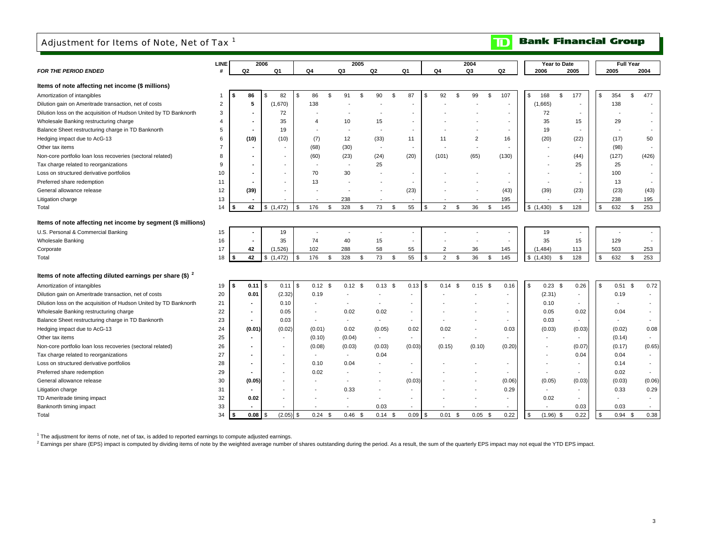### <span id="page-5-0"></span>Adjustment for Items of Note, Net of Tax<sup>1</sup>

#### **Bank Financial Group**  $\mathbf{D}$

|                                                                                      | LINE           |    |                          | 2006                |      |                          | 2005                     |                          |           |                          |                            | 2004                     |    |                          |                          | Year to Date |                          | <b>Full Year</b>         |                          |
|--------------------------------------------------------------------------------------|----------------|----|--------------------------|---------------------|------|--------------------------|--------------------------|--------------------------|-----------|--------------------------|----------------------------|--------------------------|----|--------------------------|--------------------------|--------------|--------------------------|--------------------------|--------------------------|
| <b>FOR THE PERIOD ENDED</b>                                                          | #              |    | Q2                       | Q1                  |      | Q4                       | Q3                       | Q <sub>2</sub>           |           | Q1                       | Q4                         | Q <sub>3</sub>           |    | Q <sub>2</sub>           | 2006                     |              | 2005                     | 2005                     | 2004                     |
| Items of note affecting net income (\$ millions)                                     |                |    |                          |                     |      |                          |                          |                          |           |                          |                            |                          |    |                          |                          |              |                          |                          |                          |
|                                                                                      | $\mathbf{1}$   | \$ | 86                       | $\mathcal{F}$<br>82 | \$   | 86                       | \$<br>91                 | 90<br>\$                 | \$        | 87                       | \$<br>92<br>\$             | 99                       | \$ | 107                      | 168<br>\$                | \$           | 177                      | \$<br>354                | \$<br>477                |
| Amortization of intangibles<br>Dilution gain on Ameritrade transaction, net of costs | $\overline{2}$ |    | 5                        | (1,670)             |      | 138                      |                          |                          |           |                          |                            |                          |    | $\overline{\phantom{a}}$ | (1,665)                  |              |                          | 138                      |                          |
|                                                                                      | 3              |    |                          |                     |      |                          |                          |                          |           |                          |                            |                          |    |                          | 72                       |              |                          |                          |                          |
| Dilution loss on the acquisition of Hudson United by TD Banknorth                    | $\overline{4}$ |    | ۰                        | 72<br>35            |      | $\Delta$                 | 10                       | 15                       |           | $\overline{\phantom{a}}$ |                            |                          |    | $\blacksquare$           | 35                       |              |                          | 29                       |                          |
| Wholesale Banking restructuring charge                                               |                |    |                          |                     |      |                          |                          |                          |           |                          |                            |                          |    |                          |                          |              | 15                       |                          |                          |
| Balance Sheet restructuring charge in TD Banknorth                                   | 5<br>6         |    |                          | 19                  |      |                          | 12                       |                          |           | 11                       | 11                         | $\overline{2}$           |    | 16                       | 19                       |              |                          |                          | 50                       |
| Hedging impact due to AcG-13                                                         | $\overline{7}$ |    | (10)                     | (10)                |      | (7)                      |                          | (33)                     |           |                          |                            | $\overline{\phantom{a}}$ |    |                          | (20)                     |              | (22)                     | (17)                     |                          |
| Other tax items                                                                      |                |    |                          |                     |      | (68)                     | (30)                     | $\overline{\phantom{a}}$ |           | $\overline{\phantom{a}}$ |                            |                          |    | $\overline{\phantom{a}}$ |                          |              |                          | (98)                     | $\overline{\phantom{a}}$ |
| Non-core portfolio loan loss recoveries (sectoral related)                           | 8              |    | ۰                        |                     |      | (60)                     | (23)                     | (24)                     |           | (20)                     | (101)                      | (65)                     |    | (130)                    |                          |              | (44)                     | (127)                    | (426)                    |
| Tax charge related to reorganizations                                                | 9              |    | ٠                        |                     |      |                          |                          | 25                       |           |                          |                            |                          |    |                          |                          |              | 25                       | 25                       | $\overline{\phantom{a}}$ |
| Loss on structured derivative portfolios                                             | 10             |    |                          |                     |      | 70                       | 30                       |                          |           |                          |                            |                          |    |                          |                          |              |                          | 100                      |                          |
| Preferred share redemption                                                           | 11             |    |                          |                     |      | 13                       |                          |                          |           |                          |                            |                          |    | $\overline{\phantom{a}}$ |                          |              |                          | 13                       |                          |
| General allowance release                                                            | 12             |    | (39)                     |                     |      |                          |                          |                          |           | (23)                     |                            |                          |    | (43)                     | (39)                     |              | (23)                     | (23)                     | (43)                     |
| Litigation charge                                                                    | 13             |    |                          |                     |      |                          | 238                      |                          |           |                          |                            |                          |    | 195                      |                          |              |                          | 238                      | 195                      |
| Total                                                                                | 14             | Ŝ. | 42                       | \$(1,472)           | \$   | 176                      | \$<br>328                | 73<br>\$                 | <b>S</b>  | 55                       | \$<br>$\overline{2}$<br>\$ | 36                       | \$ | 145                      | \$(1,430)                | \$           | 128                      | \$<br>632                | 253<br>\$                |
| Items of note affecting net income by segment (\$ millions)                          |                |    |                          |                     |      |                          |                          |                          |           |                          |                            |                          |    |                          |                          |              |                          |                          |                          |
| U.S. Personal & Commercial Banking                                                   | 15             |    |                          | 19                  |      |                          |                          |                          |           |                          |                            |                          |    |                          | 19                       |              |                          |                          |                          |
| Wholesale Banking                                                                    | 16             |    | ٠                        | 35                  |      | 74                       | 40                       | 15                       |           | $\overline{\phantom{a}}$ |                            |                          |    | $\overline{\phantom{a}}$ | 35                       |              | 15                       | 129                      |                          |
| Corporate                                                                            | 17             |    | 42                       | (1,526)             |      | 102                      | 288                      | 58                       |           | 55                       | $\overline{2}$             | 36                       |    | 145                      | (1, 484)                 |              | 113                      | 503                      | 253                      |
| Total                                                                                | 18             | \$ | 42                       | \$(1,472)           | \$   | 176                      | \$<br>328                | 73<br>\$                 | \$        | 55                       | \$<br>$\overline{2}$<br>\$ | 36                       | \$ | 145                      | \$(1,430)                | \$           | 128                      | \$<br>632                | 253<br>\$                |
|                                                                                      |                |    |                          |                     |      |                          |                          |                          |           |                          |                            |                          |    |                          |                          |              |                          |                          |                          |
| Items of note affecting diluted earnings per share $$)^2$                            |                |    |                          |                     |      |                          |                          |                          |           |                          |                            |                          |    |                          |                          |              |                          |                          |                          |
| Amortization of intangibles                                                          | 19             | s. | 0.11                     | l \$<br>0.11        | l \$ | $0.12$ \$                | $0.12$ \$                |                          | $0.13$ \$ | 0.13                     | \$<br>$0.14$ \$            | $0.15$ \$                |    | 0.16                     | \$                       | $0.23$ \$    | 0.26                     | \$<br>$0.51$ \$          | 0.72                     |
| Dilution gain on Ameritrade transaction, net of costs                                | 20             |    | 0.01                     | (2.32)              |      | 0.19                     |                          |                          |           |                          |                            |                          |    |                          | (2.31)                   |              |                          | 0.19                     | $\overline{\phantom{a}}$ |
| Dilution loss on the acquisition of Hudson United by TD Banknorth                    | 21             |    | $\blacksquare$           | 0.10                |      | $\overline{\phantom{a}}$ |                          |                          |           |                          |                            |                          |    |                          | 0.10                     |              | $\overline{\phantom{a}}$ |                          |                          |
| Wholesale Banking restructuring charge                                               | 22             |    |                          | 0.05                |      |                          | 0.02                     | 0.02                     |           |                          |                            |                          |    | $\overline{\phantom{a}}$ | 0.05                     |              | 0.02                     | 0.04                     |                          |
| Balance Sheet restructuring charge in TD Banknorth                                   | 23             |    | ٠                        | 0.03                |      | $\overline{\phantom{a}}$ | $\sim$                   | $\overline{\phantom{a}}$ |           |                          |                            |                          |    | $\overline{\phantom{a}}$ | 0.03                     |              | $\overline{\phantom{a}}$ | $\overline{\phantom{a}}$ | $\overline{\phantom{a}}$ |
| Hedging impact due to AcG-13                                                         | 24             |    | (0.01)                   | (0.02)              |      | (0.01)                   | 0.02                     | (0.05)                   |           | 0.02                     | 0.02                       |                          |    | 0.03                     | (0.03)                   |              | (0.03)                   | (0.02)                   | 0.08                     |
| Other tax items                                                                      | 25             |    | $\sim$                   |                     |      | (0.10)                   | (0.04)                   | $\overline{\phantom{a}}$ |           |                          |                            |                          |    | $\overline{\phantom{a}}$ |                          |              | $\overline{\phantom{a}}$ | (0.14)                   | $\overline{\phantom{a}}$ |
| Non-core portfolio loan loss recoveries (sectoral related)                           | 26             |    | $\blacksquare$           |                     |      | (0.08)                   | (0.03)                   | (0.03)                   |           | (0.03)                   | (0.15)                     | (0.10)                   |    | (0.20)                   |                          |              | (0.07)                   | (0.17)                   | (0.65)                   |
| Tax charge related to reorganizations                                                | 27             |    | $\overline{\phantom{a}}$ |                     |      | $\overline{\phantom{a}}$ | $\overline{\phantom{a}}$ | 0.04                     |           |                          |                            |                          |    |                          |                          |              | 0.04                     | 0.04                     | $\sim$                   |
| Loss on structured derivative portfolios                                             | 28             |    | $\sim$                   |                     |      | 0.10                     | 0.04                     |                          |           |                          |                            |                          |    | $\overline{\phantom{a}}$ |                          |              | $\overline{\phantom{a}}$ | 0.14                     | $\overline{\phantom{a}}$ |
| Preferred share redemption                                                           | 29             |    |                          |                     |      | 0.02                     |                          |                          |           |                          |                            |                          |    |                          |                          |              |                          | 0.02                     | $\overline{\phantom{a}}$ |
| General allowance release                                                            | 30             |    | (0.05)                   |                     |      |                          |                          |                          |           | (0.03)                   |                            |                          |    | (0.06)                   | (0.05)                   |              | (0.03)                   | (0.03)                   | (0.06)                   |
| Litigation charge                                                                    | 31             |    | $\blacksquare$           |                     |      |                          | 0.33                     |                          |           |                          |                            |                          |    | 0.29                     | $\overline{\phantom{a}}$ |              |                          | 0.33                     | 0.29                     |
| TD Ameritrade timing impact                                                          | 32             |    | 0.02                     |                     |      |                          |                          |                          |           |                          |                            |                          |    | $\overline{\phantom{a}}$ | 0.02                     |              |                          | $\overline{\phantom{a}}$ | $\overline{\phantom{a}}$ |
| Banknorth timing impact                                                              | 33             |    |                          |                     |      |                          |                          | 0.03                     |           |                          |                            |                          |    |                          |                          |              | 0.03                     | 0.03                     |                          |
| Total                                                                                | 34             | \$ | 0.08                     | (2.05)<br>\$        | -\$  | 0.24                     | \$<br>0.46               | 0.14<br>- \$             | -9        | 0.09                     | \$<br>0.01<br>\$           | 0.05                     | κ. | 0.22                     | (1.96)<br>\$             | \$           | 0.22                     | \$<br>0.94               | 0.38<br>$\mathcal{F}$    |

 $1$  The adjustment for items of note, net of tax, is added to reported earnings to compute adjusted earnings.

<sup>2</sup> Earnings per share (EPS) impact is computed by dividing items of note by the weighted average number of shares outstanding during the period. As a result, the sum of the quarterly EPS impact may not equal the YTD EPS i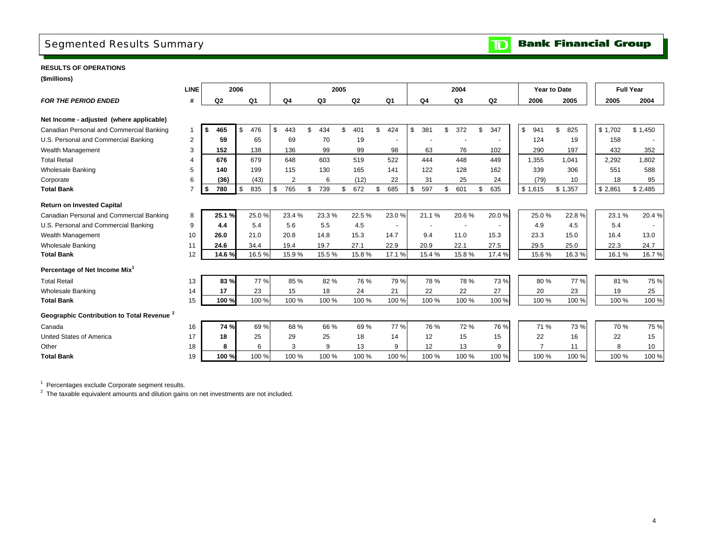### <span id="page-6-0"></span>Segmented Results Summary

**Bank Financial Group**  $\mathbf{D}$ 

#### **RESULTS OF OPERATIONS**

**(\$millions)**

| <b>LINE</b>  |           |                                                |                         |                              |     |              |     |                                                          |     |                                                 |     |      |                                         |                |             |                |     |                |               |                     | <b>Full Year</b> |                    |
|--------------|-----------|------------------------------------------------|-------------------------|------------------------------|-----|--------------|-----|----------------------------------------------------------|-----|-------------------------------------------------|-----|------|-----------------------------------------|----------------|-------------|----------------|-----|----------------|---------------|---------------------|------------------|--------------------|
| #            | Q2        | Q1                                             |                         | Q <sub>4</sub>               |     | Q3           |     | Q2                                                       |     | Q1                                              |     | Q4   |                                         | Q <sub>3</sub> |             | Q <sub>2</sub> |     | 2006           | 2005          |                     | 2005             | 2004               |
|              |           |                                                |                         |                              |     |              |     |                                                          |     |                                                 |     |      |                                         |                |             |                |     |                |               |                     |                  |                    |
|              |           |                                                |                         |                              |     |              |     |                                                          |     |                                                 |     |      |                                         |                |             |                |     |                |               |                     |                  |                    |
| $\mathbf{1}$ | -S<br>465 |                                                | \$                      |                              | ደ   |              | \$  |                                                          | \$  |                                                 | \$  |      | \$                                      |                |             |                |     | 941            |               |                     |                  | \$1,450            |
| 2            | 59        | 65                                             |                         | 69                           |     | 70           |     | 19                                                       |     | $\overline{\phantom{a}}$                        |     |      |                                         |                |             |                |     | 124            | 19            |                     | 158              |                    |
| 3            | 152       | 138                                            |                         | 136                          |     | 99           |     | 99                                                       |     | 98                                              |     | 63   |                                         | 76             |             | 102            |     | 290            | 197           |                     | 432              | 352                |
| 4            | 676       | 679                                            |                         | 648                          |     | 603          |     | 519                                                      |     | 522                                             |     | 444  |                                         | 448            |             | 449            |     | 1,355          | 1.041         |                     | 2,292            | 1,802              |
| 5            | 140       | 199                                            |                         | 115                          |     | 130          |     | 165                                                      |     | 141                                             |     | 122  |                                         | 128            |             | 162            |     | 339            | 306           |                     | 551              | 588                |
| 6            | (36)      | (43)                                           |                         | $\overline{2}$               |     | 6            |     | (12)                                                     |     | 22                                              |     | 31   |                                         | 25             |             | 24             |     | (79)           | 10            |                     | 18               | 95                 |
|              | \$<br>780 | 835                                            | \$                      | 765                          | \$  | 739          | \$  | 672                                                      | \$  | 685                                             | \$  | 597  | \$                                      | 601            | \$          | 635            |     |                | \$1,357       |                     |                  | \$2,485            |
|              |           |                                                |                         |                              |     |              |     |                                                          |     |                                                 |     |      |                                         |                |             |                |     |                |               |                     |                  |                    |
| 8            |           |                                                |                         | 23.4 %                       |     |              |     |                                                          |     | 23.0%                                           |     |      |                                         | 20.6%          |             | 20.0%          |     | 25.0%          | 22.8%         |                     | 23.1%            | 20.4%              |
| 9            | 4.4       | 5.4                                            |                         | 5.6                          |     | 5.5          |     | 4.5                                                      |     | $\overline{\phantom{a}}$                        |     |      |                                         |                |             |                |     | 4.9            | 4.5           |                     | 5.4              |                    |
| 10           | 26.0      | 21.0                                           |                         | 20.8                         |     | 14.8         |     | 15.3                                                     |     | 14.7                                            |     | 9.4  |                                         | 11.0           |             | 15.3           |     | 23.3           | 15.0          |                     | 16.4             | 13.0               |
| 11           | 24.6      | 34.4                                           |                         | 19.4                         |     | 19.7         |     | 27.1                                                     |     | 22.9                                            |     | 20.9 |                                         | 22.1           |             | 27.5           |     | 29.5           | 25.0          |                     | 22.3             | 24.7               |
| 12           |           |                                                |                         | 15.9%                        |     |              |     |                                                          |     | 17.1%                                           |     |      |                                         | 15.8%          |             | 17.4 %         |     | 15.6%          | 16.3%         |                     | 16.1%            | 16.7%              |
|              |           |                                                |                         |                              |     |              |     |                                                          |     |                                                 |     |      |                                         |                |             |                |     |                |               |                     |                  |                    |
| 13           |           |                                                |                         |                              |     |              |     |                                                          |     | 79%                                             |     |      |                                         | 78 %           |             | 73%            |     | 80%            | 77 %          |                     | 81%              | 75 %               |
| 14           | 17        | 23                                             |                         | 15                           |     | 18           |     | 24                                                       |     | 21                                              |     | 22   |                                         | 22             |             | 27             |     | 20             | 23            |                     | 19               | 25                 |
| 15           |           | 100 %                                          |                         | 100 %                        |     |              |     |                                                          |     | 100 %                                           |     |      |                                         | 100 %          |             | 100 %          |     | 100 %          | 100 %         |                     | 100 %            | 100 %              |
|              |           |                                                |                         |                              |     |              |     |                                                          |     |                                                 |     |      |                                         |                |             |                |     |                |               |                     |                  |                    |
| 16           |           |                                                |                         |                              |     |              |     |                                                          |     | 77 %                                            |     |      |                                         |                |             | 76 %           |     | 71 %           | 73 %          |                     | 70 %             | 75 %               |
| 17           | 18        | 25                                             |                         | 29                           |     | 25           |     | 18                                                       |     | 14                                              |     | 12   |                                         | 15             |             | 15             |     | 22             | 16            |                     | 22               | 15                 |
| 18           | 8         | 6                                              |                         | 3                            |     | 9            |     | 13                                                       |     | 9                                               |     | 12   |                                         | 13             |             | 9              |     | $\overline{7}$ | 11            |                     | 8                | 10                 |
| 19           |           | 100%                                           |                         | 100 %                        |     |              |     |                                                          |     | 100 %                                           |     |      |                                         | 100 %          |             | 100 %          |     | 100 %          | 100 %         |                     | 100 %            | 100 %              |
|              |           | 25.1%<br>14.6%<br>83%<br>100 %<br>74 %<br>100% | 2006<br>476<br>\$<br>\$ | 25.0%<br>16.5%<br>77%<br>69% | 443 | 85 %<br>68 % | 434 | 2005<br>23.3%<br>15.5%<br>82 %<br>100 %<br>66 %<br>100 % | 401 | 22.5%<br>15.8%<br>76 %<br>100 %<br>69%<br>100 % | 424 |      | 381<br>21.1%<br>15.4%<br>100 %<br>100 % | 78 %<br>76 %   | 2004<br>372 | \$<br>72 %     | 347 |                | \$<br>\$1,615 | Year to Date<br>825 |                  | \$1,702<br>\$2,861 |

1 Percentages exclude Corporate segment results.

<sup>2</sup> The taxable equivalent amounts and dilution gains on net investments are not included.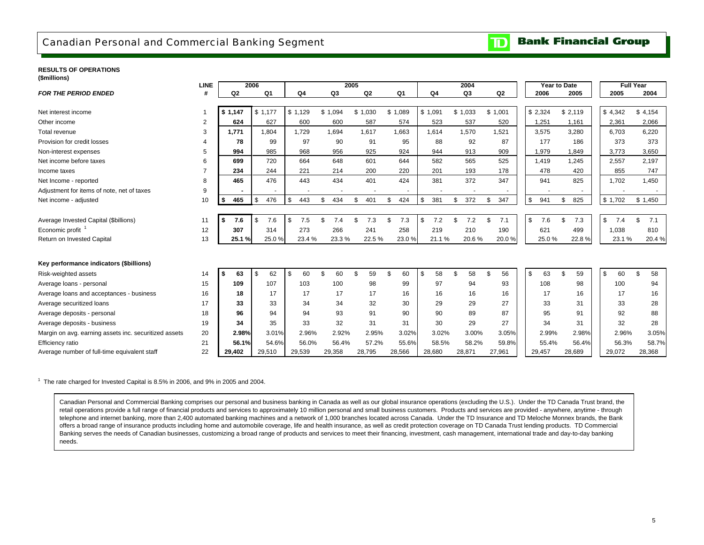### <span id="page-7-0"></span>Canadian Personal and Commercial Banking Segment

#### **Bank Financial Group**  $\mathbf{D}$

#### **RESULTS OF OPERATIONS (\$millions)**

| (ammons)                                              |                |                |      |                |                |     |                |         |       |                |           |         |        |           |       |         |              |           |                  |           |
|-------------------------------------------------------|----------------|----------------|------|----------------|----------------|-----|----------------|---------|-------|----------------|-----------|---------|--------|-----------|-------|---------|--------------|-----------|------------------|-----------|
|                                                       | <b>LINE</b>    |                | 2006 |                |                |     | 2005           |         |       |                |           |         | 2004   |           |       |         | Year to Date |           | <b>Full Year</b> |           |
| <b>FOR THE PERIOD ENDED</b>                           | #              | Q <sub>2</sub> |      | Q <sub>1</sub> | Q <sub>4</sub> |     | Q <sub>3</sub> | Q2      |       | Q <sub>1</sub> | Q4        |         | Q3     | Q2        |       |         | 2006         | 2005      | 2005             | 2004      |
|                                                       |                |                |      |                |                |     |                |         |       |                |           |         |        |           |       |         |              |           |                  |           |
| Net interest income                                   |                | \$1,147        |      | \$1,177        | \$1,129        | \$  | 1,094          | \$1,030 |       | \$1,089        | \$1,091   | \$1,033 |        | \$1,001   |       | \$2,324 |              | \$2,119   | \$4,342          | \$4,154   |
| Other income                                          | $\overline{2}$ | 624            |      | 627            | 600            |     | 600            |         | 587   | 574            | 523       |         | 537    | 520       |       |         | 1,251        | 1,161     | 2,361            | 2,066     |
| Total revenue                                         | 3              | 1,771          |      | 1,804          | 1,729          |     | 1.694          | 1,617   |       | 1.663          | 1.614     |         | 1,570  | 1,521     |       |         | 3,575        | 3,280     | 6,703            | 6,220     |
| Provision for credit losses                           |                | 78             |      | 99             | 97             |     | 90             |         | 91    | 95             | 88        |         | 92     | 87        |       |         | 177          | 186       | 373              | 373       |
| Non-interest expenses                                 | 5              | 994            |      | 985            | 968            |     | 956            |         | 925   | 924            | 944       |         | 913    | 909       |       |         | 1,979        | 1,849     | 3,773            | 3,650     |
| Net income before taxes                               | 6              | 699            |      | 720            | 664            |     | 648            |         | 601   | 644            | 582       |         | 565    | 525       |       |         | 1,419        | 1,245     | 2,557            | 2,197     |
| Income taxes                                          |                | 234            |      | 244            | 221            |     | 214            |         | 200   | 220            | 201       |         | 193    | 178       |       |         | 478          | 420       | 855              | 747       |
| Net Income - reported                                 | 8              | 465            |      | 476            | 443            |     | 434            |         | 401   | 424            | 381       |         | 372    | 347       |       |         | 941          | 825       | 1,702            | 1,450     |
| Adjustment for items of note, net of taxes            | 9              |                |      |                |                |     |                |         |       |                |           |         |        |           |       |         |              |           |                  |           |
| Net income - adjusted                                 | 10             | 465<br>\$      | \$   | 476            | \$<br>443      | \$. | 434            | \$      | 401   | \$<br>424      | \$<br>381 | \$      | 372    | 347<br>\$ |       | \$      | 941          | \$<br>825 | \$1,702          | \$1,450   |
|                                                       |                |                |      |                |                |     |                |         |       |                |           |         |        |           |       |         |              |           |                  |           |
| Average Invested Capital (\$billions)                 | 11             | 7.6<br>\$      | \$   | 7.6            | \$<br>7.5      |     | 7.4            | \$      | 7.3   | \$<br>7.3      | \$<br>7.2 | \$      | 7.2    | \$<br>7.1 |       | \$      | 7.6          | \$<br>7.3 | \$<br>7.4        | \$<br>7.1 |
| Economic profit                                       | 12             | 307            |      | 314            | 273            |     | 266            |         | 241   | 258            | 219       |         | 210    | 190       |       |         | 621          | 499       | 1,038            | 810       |
| Return on Invested Capital                            | 13             | 25.1%          |      | 25.0%          | 23.4 %         |     | 23.3%          |         | 22.5% | 23.0%          | 21.1%     |         | 20.6%  | 20.0%     |       |         | 25.0%        | 22.8%     | 23.1 %           | 20.4%     |
|                                                       |                |                |      |                |                |     |                |         |       |                |           |         |        |           |       |         |              |           |                  |           |
| Key performance indicators (\$billions)               |                |                |      |                |                |     |                |         |       |                |           |         |        |           |       |         |              |           |                  |           |
| Risk-weighted assets                                  | 14             | 63<br>\$       | \$   | 62             | \$<br>60       |     | 60             | \$      | 59    | \$<br>60       | \$<br>58  | \$      | 58     | \$<br>56  |       | \$      | 63           | \$<br>59  | \$<br>60         | \$<br>58  |
| Average loans - personal                              | 15             | 109            |      | 107            | 103            |     | 100            |         | 98    | 99             | 97        |         | 94     | 93        |       |         | 108          | 98        | 100              | 94        |
| Average loans and acceptances - business              | 16             | 18             |      | 17             | 17             |     | 17             |         | 17    | 16             | 16        |         | 16     | 16        |       |         | 17           | 16        | 17               | 16        |
| Average securitized loans                             | 17             | 33             |      | 33             | 34             |     | 34             |         | 32    | 30             | 29        |         | 29     | 27        |       |         | 33           | 31        | 33               | 28        |
| Average deposits - personal                           | 18             | 96             |      | 94             | 94             |     | 93             |         | 91    | 90             | 90        |         | 89     | 87        |       |         | 95           | 91        | 92               | 88        |
| Average deposits - business                           | 19             | 34             |      | 35             | 33             |     | 32             |         | 31    | 31             | 30        |         | 29     | 27        |       |         | 34           | 31        | 32               | 28        |
| Margin on avg. earning assets inc. securitized assets | 20             | 2.98%          |      | 3.01%          | 2.96%          |     | 2.92%          |         | 2.95% | 3.02%          | 3.02%     |         | 3.00%  |           | 3.05% |         | 2.99%        | 2.98%     | 2.96%            | 3.05%     |
| Efficiency ratio                                      | 21             | 56.1%          |      | 54.6%          | 56.0%          |     | 56.4%          |         | 57.2% | 55.6%          | 58.5%     |         | 58.2%  |           | 59.8% |         | 55.4%        | 56.4%     | 56.3%            | 58.7%     |
| Average number of full-time equivalent staff          | 22             | 29,402         |      | 29,510         | 29,539         |     | 29,358         | 28,795  |       | 28,566         | 28,680    |         | 28,871 | 27,961    |       | 29,457  |              | 28,689    | 29,072           | 28,368    |
|                                                       |                |                |      |                |                |     |                |         |       |                |           |         |        |           |       |         |              |           |                  |           |

 $1$  The rate charged for Invested Capital is 8.5% in 2006, and 9% in 2005 and 2004.

Canadian Personal and Commercial Banking comprises our personal and business banking in Canada as well as our global insurance operations (excluding the U.S.). Under the TD Canada Trust brand, the retail operations provide a full range of financial products and services to approximately 10 million personal and small business customers. Products and services are provided - anywhere, anytime - through telephone and internet banking, more than 2,400 automated banking machines and a network of 1,000 branches located across Canada. Under the TD Insurance and TD Meloche Monnex brands, the Bank offers a broad range of insurance products including home and automobile coverage, life and health insurance, as well as credit protection coverage on TD Canada Trust lending products. TD Commercial Banking serves the needs of Canadian businesses, customizing a broad range of products and services to meet their financing, investment, cash management, international trade and day-to-day banking needs.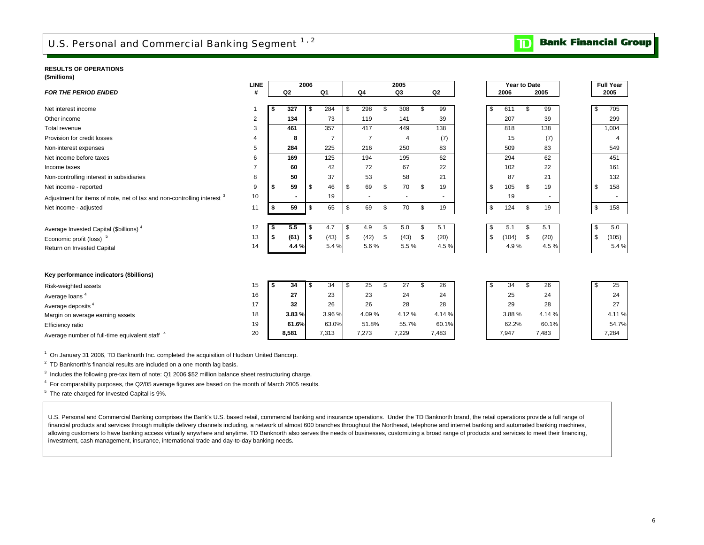## <span id="page-8-0"></span>U.S. Personal and Commercial Banking Segment 1,2

#### **RESULTS OF OPERATIONS**

**(\$millions)**

|                                                                                    | <b>LINE</b>    |      |       | 2006       |                |                | 2005           |     |                |      | Year to Date |            |    | <b>Full Year</b> |
|------------------------------------------------------------------------------------|----------------|------|-------|------------|----------------|----------------|----------------|-----|----------------|------|--------------|------------|----|------------------|
| <b>FOR THE PERIOD ENDED</b>                                                        | #              |      | Q2    |            | Q1             | Q4             | Q <sub>3</sub> |     | Q <sub>2</sub> |      | 2006         | 2005       |    | 2005             |
|                                                                                    |                |      |       |            |                |                |                |     |                |      |              |            |    |                  |
| Net interest income                                                                |                | - \$ | 327   | l \$       | 284            | \$<br>298      | \$<br>308      | \$. | 99             | - \$ | 611          | \$<br>99   | \$ | 705              |
| Other income                                                                       | $\overline{2}$ |      | 134   |            | 73             | 119            | 141            |     | 39             |      | 207          | 39         |    | 299              |
| Total revenue                                                                      | 3              |      | 461   |            | 357            | 417            | 449            |     | 138            |      | 818          | 138        |    | 1,004            |
| Provision for credit losses                                                        | 4              |      | 8     |            | $\overline{7}$ | $\overline{7}$ | 4              |     | (7)            |      | 15           | (7)        |    | 4                |
| Non-interest expenses                                                              | 5              |      | 284   |            | 225            | 216            | 250            |     | 83             |      | 509          | 83         |    | 549              |
| Net income before taxes                                                            | 6              |      | 169   |            | 125            | 194            | 195            |     | 62             |      | 294          | 62         |    | 451              |
| Income taxes                                                                       | $\overline{7}$ |      | 60    |            | 42             | 72             | 67             |     | 22             |      | 102          | 22         |    | 161              |
| Non-controlling interest in subsidiaries                                           | 8              |      | 50    |            | 37             | 53             | 58             |     | 21             |      | 87           | 21         |    | 132              |
| Net income - reported                                                              | 9              | \$   | 59    | \$         | 46             | \$<br>69       | \$<br>70       | \$  | 19             | - \$ | 105          | \$<br>19   | \$ | 158              |
| Adjustment for items of note, net of tax and non-controlling interest <sup>3</sup> | 10             |      |       |            | 19             |                |                |     |                |      | 19           | ٠          |    |                  |
| Net income - adjusted                                                              | 11             | S.   | 59    | \$         | 65             | \$<br>69       | \$<br>70       | \$  | 19             | \$   | 124          | \$<br>19   | \$ | 158              |
|                                                                                    |                |      |       |            |                |                |                |     |                |      |              |            |    |                  |
| Average Invested Capital (\$billions) <sup>4</sup>                                 | 12             | -\$  | 5.5   | l \$       | 4.7            | \$<br>4.9      | \$<br>5.0      | \$  | 5.1            | -\$  | 5.1          | \$<br>5.1  | \$ | 5.0              |
| Economic profit (loss) <sup>5</sup>                                                | 13             | \$   | (61)  | <b>S</b>   | (43)           | \$<br>(42)     | \$<br>(43)     | \$  | (20)           | - \$ | (104)        | \$<br>(20) | \$ | (105)            |
| Return on Invested Capital                                                         | 14             |      | 4.4 % |            | 5.4 %          | 5.6%           | 5.5%           |     | 4.5%           |      | 4.9%         | 4.5%       |    | 5.4%             |
|                                                                                    |                |      |       |            |                |                |                |     |                |      |              |            |    |                  |
|                                                                                    |                |      |       |            |                |                |                |     |                |      |              |            |    |                  |
| Key performance indicators (\$billions)                                            |                |      |       |            |                |                |                |     |                |      |              |            |    |                  |
| Risk-weighted assets                                                               | 15             | -\$  | 34    | $\sqrt{3}$ | 34             | \$<br>25       | \$<br>27       | \$  | 26             | \$   | 34           | \$<br>26   | \$ | 25               |
| Average loans <sup>4</sup>                                                         | 16             |      | 27    |            | 23             | 23             | 24             |     | 24             |      | 25           | 24         |    | 24               |
| Average deposits <sup>4</sup>                                                      | 17             |      | 32    |            | 26             | 26             | 28             |     | 28             |      | 29           | 28         |    | 27               |
| Margin on average earning assets                                                   | 18             |      | 3.83% |            | 3.96 %         | 4.09%          | 4.12%          |     | 4.14 %         |      | 3.88%        | 4.14 %     |    | 4.11%            |
| Efficiency ratio                                                                   | 19             |      | 61.6% |            | 63.0%          | 51.8%          | 55.7%          |     | 60.1%          |      | 62.2%        | 60.1%      |    | 54.7%            |
| Average number of full-time equivalent staff <sup>4</sup>                          | 20             |      | 8,581 |            | 7,313          | 7,273          | 7,229          |     | 7,483          |      | 7,947        | 7,483      |    | 7,284            |

<sup>1</sup> On January 31 2006, TD Banknorth Inc. completed the acquisition of Hudson United Bancorp.

 $2$  TD Banknorth's financial results are included on a one month lag basis.

<sup>3</sup> Includes the following pre-tax item of note: Q1 2006 \$52 million balance sheet restructuring charge.

4 For comparability purposes, the Q2/05 average figures are based on the month of March 2005 results.

<sup>5</sup> The rate charged for Invested Capital is 9%.

U.S. Personal and Commercial Banking comprises the Bank's U.S. based retail, commercial banking and insurance operations. Under the TD Banknorth brand, the retail operations provide a full range of financial products and services through multiple delivery channels including, a network of almost 600 branches throughout the Northeast, telephone and internet banking and automated banking machines, allowing customers to have banking access virtually anywhere and anytime. TD Banknorth also serves the needs of businesses, customizing a broad range of products and services to meet their financing, investment, cash management, insurance, international trade and day-to-day banking needs.

## **TD** Bank Financial Group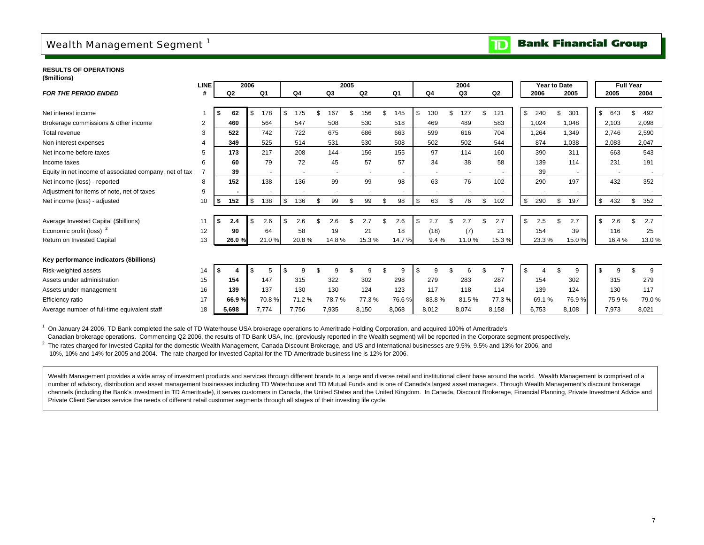### <span id="page-9-0"></span>Wealth Management Segment<sup>1</sup>

#### **Bank Financial Group**  $\overline{\mathbf{D}}$

**RESULTS OF OPERATIONS(\$millions)**

|                                                        | <b>LINE</b>    |                | 2006  |                   |           |                | 2005 |                          |                          |           |     | 2004  |                | Year to Date |                          |           | <b>Full Year</b> |       |
|--------------------------------------------------------|----------------|----------------|-------|-------------------|-----------|----------------|------|--------------------------|--------------------------|-----------|-----|-------|----------------|--------------|--------------------------|-----------|------------------|-------|
| <b>FOR THE PERIOD ENDED</b>                            | #              | Q <sub>2</sub> |       | Q1                | Q4        | Q <sub>3</sub> |      | Q <sub>2</sub>           | Q1                       | Q4        |     | Q3    | Q <sub>2</sub> | 2006         | 2005                     | 2005      |                  | 2004  |
|                                                        |                |                |       |                   |           |                |      |                          |                          |           |     |       |                |              |                          |           |                  |       |
| Net interest income                                    |                | 62             |       | 178<br>- \$       | \$<br>175 | \$<br>167      |      | 156                      | 145                      | \$<br>130 | \$. | 127   | 121            | \$<br>240    | 301                      | \$<br>643 | \$               | 492   |
| Brokerage commissions & other income                   | $\overline{2}$ | 460            |       | 564               | 547       | 508            |      | 530                      | 518                      | 469       |     | 489   | 583            | 1,024        | 1,048                    | 2,103     |                  | 2,098 |
| Total revenue                                          | 3              | 522            |       | 742               | 722       | 675            |      | 686                      | 663                      | 599       |     | 616   | 704            | 1,264        | 1,349                    | 2,746     |                  | 2,590 |
| Non-interest expenses                                  |                | 349            |       | 525               | 514       | 531            |      | 530                      | 508                      | 502       |     | 502   | 544            | 874          | 1,038                    | 2,083     |                  | 2,047 |
| Net income before taxes                                | 5              | 173            |       | 217               | 208       | 144            |      | 156                      | 155                      | 97        |     | 114   | 160            | 390          | 311                      | 663       |                  | 543   |
| Income taxes                                           | 6              | 60             |       | 79                | 72        | 45             |      | 57                       | 57                       | 34        |     | 38    | 58             | 139          | 114                      | 231       |                  | 191   |
| Equity in net income of associated company, net of tax |                | 39             |       |                   |           |                |      | $\overline{\phantom{a}}$ | $\overline{\phantom{a}}$ |           |     |       |                | 39           | $\overline{\phantom{a}}$ |           |                  |       |
| Net income (loss) - reported                           | 8              | 152            |       | 138               | 136       | 99             |      | 99                       | 98                       | 63        |     | 76    | 102            | 290          | 197                      | 432       |                  | 352   |
| Adjustment for items of note, net of taxes             | 9              |                |       |                   |           |                |      |                          |                          |           |     |       |                |              |                          |           |                  |       |
| Net income (loss) - adjusted                           | 10             | 152<br>∣\$     |       | $\sqrt{3}$<br>138 | \$<br>136 | \$<br>99       | \$   | 99                       | \$<br>98                 | \$<br>63  | \$  | 76    | \$<br>102      | \$<br>290    | 197                      | \$<br>432 | \$               | 352   |
|                                                        |                |                |       |                   |           |                |      |                          |                          |           |     |       |                |              |                          |           |                  |       |
| Average Invested Capital (\$billions)                  | 11             | 2.4<br>l S     |       | 2.6<br>- \$       | \$<br>2.6 |                |      | 2.7                      | 2.6                      | \$<br>2.7 |     | 2.7   | 2.7            | \$<br>2.5    | 2.7                      | \$<br>2.6 |                  | 2.7   |
| Economic profit (loss) <sup>2</sup>                    | 12             | 90             |       | 64                | 58        | 19             |      | 21                       | 18                       | (18)      |     | (7)   | 21             | 154          | 39                       | 116       |                  | 25    |
| Return on Invested Capital                             | 13             |                | 26.0% | 21.0%             | 20.8%     | 14.8%          |      | 15.3%                    | 14.7%                    | 9.4%      |     | 11.0% | 15.3%          | 23.3%        | 15.0%                    | 16.4%     |                  | 13.0% |
|                                                        |                |                |       |                   |           |                |      |                          |                          |           |     |       |                |              |                          |           |                  |       |
| Key performance indicators (\$billions)                |                |                |       |                   |           |                |      |                          |                          |           |     |       |                |              |                          |           |                  |       |
| Risk-weighted assets                                   | 14             |                |       | 5                 | \$        |                |      | 9                        | 9                        | \$<br>9   |     | 6     |                | \$           | 9                        | 9         |                  | 9     |
| Assets under administration                            | 15             | 154            |       | 147               | 315       | 322            |      | 302                      | 298                      | 279       |     | 283   | 287            | 154          | 302                      | 315       |                  | 279   |
| Assets under management                                | 16             | 139            |       | 137               | 130       | 130            |      | 124                      | 123                      | 117       |     | 118   | 114            | 139          | 124                      | 130       |                  | 117   |
| Efficiency ratio                                       | 17             | 66.9%          |       | 70.8%             | 71.2%     | 78.7%          |      | 77.3 %                   | 76.6%                    | 83.8%     |     | 81.5% | 77.3%          | 69.1%        | 76.9%                    | 75.9%     |                  | 79.0% |
| Average number of full-time equivalent staff           | 18             | 5.698          |       | 7.774             | 7.756     | 7,935          |      | 8,150                    | 8,068                    | 8,012     |     | 8,074 | 8,158          | 6.753        | 8.108                    | 7,973     |                  | 8,021 |

<sup>1</sup> On January 24 2006, TD Bank completed the sale of TD Waterhouse USA brokerage operations to Ameritrade Holding Corporation, and acquired 100% of Ameritrade's

Canadian brokerage operations. Commencing Q2 2006, the results of TD Bank USA, Inc. (previously reported in the Wealth segment) will be reported in the Corporate segment prospectively.

<sup>2</sup> The rates charged for Invested Capital for the domestic Wealth Management, Canada Discount Brokerage, and US and International businesses are 9.5%, 9.5% and 13% for 2006, and 10%, 10% and 14% for 2005 and 2004. The rate charged for Invested Capital for the TD Ameritrade business line is 12% for 2006.

Wealth Management provides a wide array of investment products and services through different brands to a large and diverse retail and institutional client base around the world. Wealth Management is comprised of a number of advisory, distribution and asset management businesses including TD Waterhouse and TD Mutual Funds and is one of Canada's largest asset managers. Through Wealth Management's discount brokerage channels (including the Bank's investment in TD Ameritrade), it serves customers in Canada, the United States and the United Kingdom. In Canada, Discount Brokerage, Financial Planning, Private Investment Advice and Private Client Services service the needs of different retail customer segments through all stages of their investing life cycle.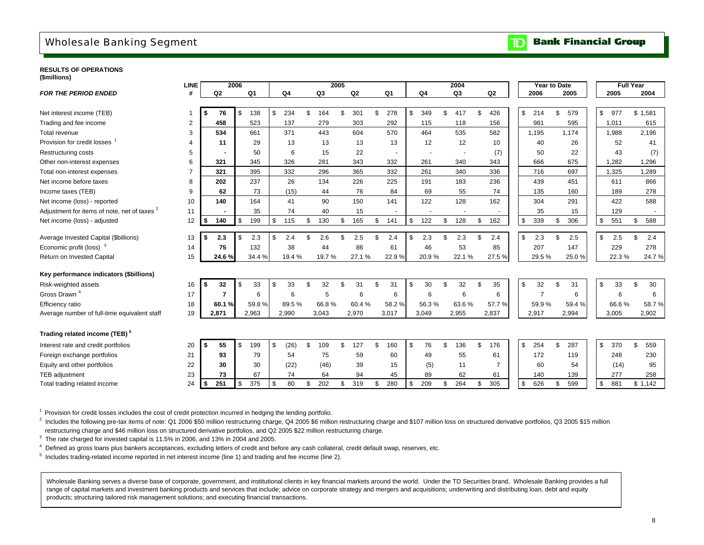### <span id="page-10-0"></span>Wholesale Banking Segment

#### **Bank Financial Group** וסד

#### **RESULTS OF OPERATIONS(\$millions)**

|                                              | <b>LINE</b>    |                | 2006      |            |    |       | 2005 |                |     |                          |                | 2004                     |                          | Year to Date   |    |       |                     | <b>Full Year</b> |       |
|----------------------------------------------|----------------|----------------|-----------|------------|----|-------|------|----------------|-----|--------------------------|----------------|--------------------------|--------------------------|----------------|----|-------|---------------------|------------------|-------|
| <b>FOR THE PERIOD ENDED</b>                  | #              | Q <sub>2</sub> | Q1        | Q4         |    | Q3    |      | Q <sub>2</sub> |     | Q1                       | Q4             | Q <sub>3</sub>           | Q <sub>2</sub>           | 2006           |    | 2005  | 2005                |                  | 2004  |
|                                              |                |                |           |            |    |       |      |                |     |                          |                |                          |                          |                |    |       |                     |                  |       |
| Net interest income (TEB)                    | $\mathbf{1}$   | 76             | 138<br>\$ | \$<br>234  | \$ | 164   | \$   | 301            | \$  | 278                      | \$<br>349      | \$<br>417                | \$<br>426                | \$<br>214      | \$ | 579   | $\mathbb S$<br>977  | \$1,581          |       |
| Trading and fee income                       | 2              | 458            | 523       | 137        |    | 279   |      | 303            |     | 292                      | 115            | 118                      | 156                      | 981            |    | 595   | 1,011               |                  | 615   |
| Total revenue                                | 3              | 534            | 661       | 371        |    | 443   |      | 604            |     | 570                      | 464            | 535                      | 582                      | 1.195          |    | 1.174 | 1,988               |                  | 2,196 |
| Provision for credit losses                  | 4              | 11             | 29        | 13         |    | 13    |      | 13             |     | 13                       | 12             | 12                       | 10                       | 40             |    | 26    | 52                  |                  | 41    |
| <b>Restructuring costs</b>                   | 5              |                | 50        | 6          |    | 15    |      | 22             |     | $\overline{\phantom{a}}$ |                | $\overline{\phantom{a}}$ | (7)                      | 50             |    | 22    | 43                  |                  | (7)   |
| Other non-interest expenses                  | 6              | 321            | 345       | 326        |    | 281   |      | 343            |     | 332                      | 261            | 340                      | 343                      | 666            |    | 675   | 1,282               |                  | 1,296 |
| Total non-interest expenses                  | $\overline{7}$ | 321            | 395       | 332        |    | 296   |      | 365            |     | 332                      | 261            | 340                      | 336                      | 716            |    | 697   | 1,325               |                  | 1,289 |
| Net income before taxes                      | 8              | 202            | 237       | 26         |    | 134   |      | 226            |     | 225                      | 191            | 183                      | 236                      | 439            |    | 451   | 611                 |                  | 866   |
| Income taxes (TEB)                           | 9              | 62             | 73        | (15)       |    | 44    |      | 76             |     | 84                       | 69             | 55                       | 74                       | 135            |    | 160   | 189                 |                  | 278   |
| Net income (loss) - reported                 | 10             | 140            | 164       | 41         |    | 90    |      | 150            |     | 141                      | 122            | 128                      | 162                      | 304            |    | 291   | 422                 |                  | 588   |
| Adjustment for items of note, net of taxes 2 | 11             | ٠              | 35        | 74         |    | 40    |      | 15             |     |                          | $\blacksquare$ | $\overline{\phantom{a}}$ | $\overline{\phantom{a}}$ | 35             |    | 15    | 129                 |                  |       |
| Net income (loss) - adjusted                 | 12             | 140            | \$<br>199 | \$<br>115  | \$ | 130   | \$   | 165            | \$  | 141                      | \$<br>122      | 128                      | \$<br>162                | \$<br>339      | \$ | 306   | $\mathbb S$<br>551  | \$               | 588   |
| Average Invested Capital (\$billions)        | 13             | \$<br>2.3      | \$<br>2.3 | \$<br>2.4  | \$ | 2.6   | \$   | 2.5            | \$. | 2.4                      | \$<br>2.3      | \$<br>2.3                | \$<br>2.4                | \$<br>2.3      | £. | 2.5   | \$<br>2.5           | \$               | 2.4   |
| Economic profit (loss) <sup>3</sup>          | 14             | 75             | 132       | 38         |    | 44    |      | 86             |     | 61                       | 46             | 53                       | 85                       | 207            |    | 147   | 229                 |                  | 278   |
| Return on Invested Capital                   | 15             | 24.6%          | 34.4%     | 19.4%      |    | 19.7% |      | 27.1%          |     | 22.9%                    | 20.9%          | 22.1%                    | 27.5%                    | 29.5%          |    | 25.0% | 22.3%               |                  | 24.7% |
| Key performance indicators (\$billions)      |                |                |           |            |    |       |      |                |     |                          |                |                          |                          |                |    |       |                     |                  |       |
| Risk-weighted assets                         | 16             | \$<br>32       | \$<br>33  | \$<br>33   | £. | 32    | £.   | 31             | \$  | 31                       | \$<br>30       | 32                       | \$<br>35                 | \$<br>32       | \$ | 31    | \$<br>33            | \$               | 30    |
| Gross Drawn <sup>4</sup>                     | 17             | $\overline{7}$ | 6         | 6          |    | 5     |      | 6              |     | 6                        | 6              | 6                        | 6                        | $\overline{7}$ |    | 6     | 6                   |                  | 6     |
| Efficiency ratio                             | 18             | 60.1 %         | 59.8%     | 89.5%      |    | 66.8% |      | 60.4%          |     | 58.2%                    | 56.3%          | 63.6%                    | 57.7%                    | 59.9%          |    | 59.4% | 66.6%               |                  | 58.7% |
| Average number of full-time equivalent staff | 19             | 2,871          | 2,963     | 2,990      |    | 3,043 |      | 2,970          |     | 3,017                    | 3,049          | 2,955                    | 2,837                    | 2,917          |    | 2,994 | 3,005               |                  | 2,902 |
| Trading related income (TEB) <sup>5</sup>    |                |                |           |            |    |       |      |                |     |                          |                |                          |                          |                |    |       |                     |                  |       |
| Interest rate and credit portfolios          | 20             | \$<br>55       | \$<br>199 | \$<br>(26) | \$ | 109   | \$   | 127            | \$  | 160                      | \$<br>76       | \$<br>136                | \$<br>176                | \$<br>254      | \$ | 287   | $\mathbb{S}$<br>370 | \$               | 559   |
| Foreign exchange portfolios                  | 21             | 93             | 79        | 54         |    | 75    |      | 59             |     | 60                       | 49             | 55                       | 61                       | 172            |    | 119   | 248                 |                  | 230   |
| Equity and other portfolios                  | 22             | 30             | 30        | (22)       |    | (46)  |      | 39             |     | 15                       | (5)            | 11                       | $\overline{7}$           | 60             |    | 54    | (14)                |                  | 95    |
| TEB adjustment                               | 23             | 73             | 67        | 74         |    | 64    |      | 94             |     | 45                       | 89             | 62                       | 61                       | 140            |    | 139   | 277                 |                  | 258   |
| Total trading related income                 | 24             | 251            | \$<br>375 | \$<br>80   | \$ | 202   | \$   | 319            | \$  | 280                      | \$<br>209      | \$<br>264                | \$<br>305                | \$<br>626      | \$ | 599   | \$<br>881           | \$1,142          |       |
|                                              |                |                |           |            |    |       |      |                |     |                          |                |                          |                          |                |    |       |                     |                  |       |

<sup>1</sup> Provision for credit losses includes the cost of credit protection incurred in hedging the lending portfolio.

 $^{2}$  Includes the following pre-tax items of note: Q1 2006 \$50 million restructuring charge, Q4 2005 \$6 million restructuring charge and \$107 million loss on structured derivative portfolios, Q3 2005 \$15 million restructuring charge and \$46 million loss on structured derivative portfolios, and Q2 2005 \$22 million restructuring charge.

 $3$  The rate charged for invested capital is 11.5% in 2006, and 13% in 2004 and 2005.

4 Defined as gross loans plus bankers acceptances, excluding letters of credit and before any cash collateral, credit default swap, reserves, etc.

 $<sup>5</sup>$  Includes trading-related income reported in net interest income (line 1) and trading and fee income (line 2).</sup>

Wholesale Banking serves a diverse base of corporate, government, and institutional clients in key financial markets around the world. Under the TD Securities brand, Wholesale Banking provides a full range of capital markets and investment banking products and services that include; advice on corporate strategy and mergers and acquisitions; underwriting and distributing loan, debt and equity products; structuring tailored risk management solutions; and executing financial transactions.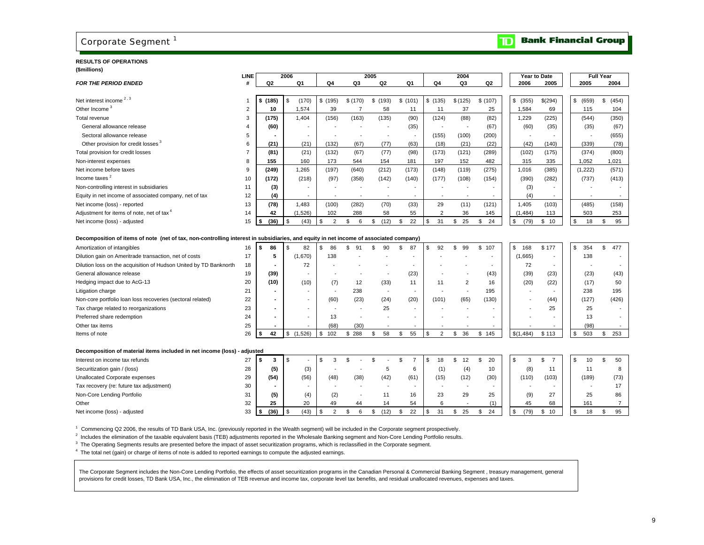### <span id="page-11-0"></span>Corporate Segment<sup>1</sup>

#### **RESULTS OF OPERATIONS(\$millions)**

|                                                                                                                                       | LINE           |                | 2006 |                          |                          |                          | 2005                     |                      |          | 2004                     |                              |            | Year to Date             |             | <b>Full Year</b> |
|---------------------------------------------------------------------------------------------------------------------------------------|----------------|----------------|------|--------------------------|--------------------------|--------------------------|--------------------------|----------------------|----------|--------------------------|------------------------------|------------|--------------------------|-------------|------------------|
| <b>FOR THE PERIOD ENDED</b>                                                                                                           | #              | Q <sub>2</sub> |      | Q1                       | Q4                       | Q3                       | Q <sub>2</sub>           | Q1                   | Q4       | Q3                       | Q2                           | 2006       | 2005                     | 2005        | 2004             |
|                                                                                                                                       |                |                |      |                          |                          |                          |                          |                      |          |                          |                              |            |                          |             |                  |
| Net interest income <sup>2,3</sup>                                                                                                    |                | \$ (185)       | \$   | (170)                    | \$(195)                  | \$(170)                  | \$ (193)                 | \$(101)              | \$(135)  | \$(125)                  | \$ (107)                     | \$ (355)   | \$(294)                  | \$<br>(659) | \$<br>(454)      |
| Other Income <sup>3</sup>                                                                                                             | $\overline{2}$ | 10             |      | 1,574                    | 39                       | $\overline{7}$           | 58                       | 11                   | 11       | 37                       | 25                           | 1,584      | 69                       | 115         | 104              |
| Total revenue                                                                                                                         | 3              | (175)          |      | 1,404                    | (156)                    | (163)                    | (135)                    | (90)                 | (124)    | (88)                     | (82)                         | 1,229      | (225)                    | (544)       | (350)            |
| General allowance release                                                                                                             |                | (60)           |      |                          |                          |                          |                          | (35)                 |          | $\overline{\phantom{a}}$ | (67)                         | (60)       | (35)                     | (35)        | (67)             |
| Sectoral allowance release                                                                                                            | 5              |                |      | $\overline{\phantom{a}}$ |                          |                          | $\overline{a}$           |                      | (155)    | (100)                    | (200)                        |            |                          |             | (655)            |
| Other provision for credit losses <sup>3</sup>                                                                                        | 6              | (21)           |      | (21)                     | (132)                    | (67)                     | (77)                     | (63)                 | (18)     | (21)                     | (22)                         | (42)       | (140)                    | (339)       | (78)             |
| Total provision for credit losses                                                                                                     |                | (81)           |      | (21)                     | (132)                    | (67)                     | (77)                     | (98)                 | (173)    | (121)                    | (289)                        | (102)      | (175)                    | (374)       | (800)            |
| Non-interest expenses                                                                                                                 | 8              | 155            |      | 160                      | 173                      | 544                      | 154                      | 181                  | 197      | 152                      | 482                          | 315        | 335                      | 1,052       | 1,021            |
| Net income before taxes                                                                                                               | 9              | (249)          |      | 1,265                    | (197)                    | (640)                    | (212)                    | (173)                | (148)    | (119)                    | (275)                        | 1,016      | (385)                    | (1,222)     | (571)            |
| Income taxes <sup>2</sup>                                                                                                             | 10             | (172)          |      | (218)                    | (97)                     | (358)                    | (142)                    | (140)                | (177)    | (108)                    | (154)                        | (390)      | (282)                    | (737)       | (413)            |
| Non-controlling interest in subsidiaries                                                                                              | 11             | (3)            |      |                          |                          |                          |                          |                      |          |                          |                              | (3)        |                          |             |                  |
| Equity in net income of associated company, net of tax                                                                                | 12             | (4)            |      | $\overline{\phantom{a}}$ |                          |                          |                          |                      |          |                          |                              | (4)        | $\overline{a}$           |             |                  |
| Net income (loss) - reported                                                                                                          | 13             | (78)           |      | 1,483                    | (100)                    | (282)                    | (70)                     | (33)                 | 29       | (11)                     | (121)                        | 1,405      | (103)                    | (485)       | (158)            |
| Adjustment for items of note, net of tax <sup>4</sup>                                                                                 | 14             | 42             |      | (1,526)                  | 102                      | 288                      | 58                       | 55                   | 2        | 36                       | 145                          | (1, 484)   | 113                      | 503         | 253              |
| Net income (loss) - adjusted                                                                                                          | 15             | (36)<br>\$     | \$   | (43)                     | $\mathfrak s$<br>2       | \$<br>6                  | \$<br>(12)               | \$<br>22             | 31<br>\$ | \$<br>25                 | \$<br>24                     | \$<br>(79) | \$10                     | \$<br>18    | \$<br>95         |
|                                                                                                                                       |                |                |      |                          |                          |                          |                          |                      |          |                          |                              |            |                          |             |                  |
| Decomposition of items of note (net of tax, non-controlling interest in subsidiaries, and equity in net income of associated company) |                |                |      |                          |                          |                          |                          |                      |          |                          |                              |            |                          |             |                  |
| Amortization of intangibles                                                                                                           | 16             | \$<br>86       |      | 82                       | 86<br>\$                 | £.<br>91                 | 90                       | \$<br>87             | \$<br>92 | \$<br>99                 | 107<br>\$                    | \$<br>168  | \$177                    | \$<br>354   | \$<br>477        |
| Dilution gain on Ameritrade transaction, net of costs                                                                                 | 17             | 5              |      | (1,670)                  | 138                      |                          |                          |                      |          |                          | $\qquad \qquad \blacksquare$ | (1,665)    |                          | 138         |                  |
| Dilution loss on the acquisition of Hudson United by TD Banknorth                                                                     | 18             |                |      | 72                       |                          |                          |                          |                      |          |                          |                              | 72         | $\overline{\phantom{a}}$ |             |                  |
| General allowance release                                                                                                             | 19             | (39)           |      | $\overline{\phantom{a}}$ |                          |                          |                          | (23)                 |          |                          | (43)                         | (39)       | (23)                     | (23)        | (43)             |
| Hedging impact due to AcG-13                                                                                                          | 20             | (10)           |      | (10)                     | (7)                      | 12                       | (33)                     | 11                   | 11       | $\overline{2}$           | 16                           | (20)       | (22)                     | (17)        | 50               |
| Litigation charge                                                                                                                     | 21             |                |      |                          | $\overline{\phantom{a}}$ | 238                      | $\overline{\phantom{a}}$ |                      |          |                          | 195                          |            |                          | 238         | 195              |
| Non-core portfolio loan loss recoveries (sectoral related)                                                                            | 22             |                |      |                          | (60)                     | (23)                     | (24)                     | (20)                 | (101)    | (65)                     | (130)                        |            | (44)                     | (127)       | (426)            |
| Tax charge related to reorganizations                                                                                                 | 23             |                |      |                          |                          | $\overline{\phantom{a}}$ | 25                       |                      |          |                          |                              |            | 25                       | 25          |                  |
| Preferred share redemption                                                                                                            | 24             |                |      |                          | 13                       | $\overline{\phantom{a}}$ |                          |                      |          |                          |                              |            |                          | 13          |                  |
| Other tax items                                                                                                                       | 25             |                |      |                          | (68)                     | (30)                     |                          |                      |          |                          |                              |            |                          | (98)        |                  |
| Items of note                                                                                                                         | 26             | 42<br>\$       | \$   | (1,526)                  | \$<br>102                | \$288                    | 58<br>\$                 | 55<br>\$             | 2<br>\$  | \$<br>36                 | \$145                        | \$(1,484)  | \$113                    | \$<br>503   | \$<br>253        |
|                                                                                                                                       |                |                |      |                          |                          |                          |                          |                      |          |                          |                              |            |                          |             |                  |
| Decomposition of material items included in net income (loss)                                                                         | adjusted       |                |      |                          |                          |                          |                          |                      |          |                          |                              |            |                          |             |                  |
| Interest on income tax refunds                                                                                                        | 27             | \$<br>3        | \$   |                          | \$<br>3                  | \$.                      | \$                       | \$<br>$\overline{7}$ | \$<br>18 | \$<br>12                 | 20<br>\$                     | \$<br>3    | \$<br>$\overline{7}$     | \$<br>10    | \$<br>50         |
| Securitization gain / (loss)                                                                                                          | 28             | (5)            |      | (3)                      |                          |                          | 5                        | 6                    | (1)      | (4)                      | 10                           | (8)        | 11                       | 11          | 8                |
| Unallocated Corporate expenses                                                                                                        | 29             | (54)           |      | (56)                     | (48)                     | (38)                     | (42)                     | (61)                 | (15)     | (12)                     | (30)                         | (110)      | (103)                    | (189)       | (73)             |
| Tax recovery (re: future tax adjustment)                                                                                              | 30             |                |      |                          |                          |                          | $\overline{a}$           |                      |          | $\overline{\phantom{a}}$ | $\overline{\phantom{a}}$     |            |                          |             | 17               |
| Non-Core Lending Portfolio                                                                                                            | 31             | (5)            |      | (4)                      | (2)                      |                          | 11                       | 16                   | 23       | 29                       | 25                           | (9)        | 27                       | 25          | 86               |
| Other                                                                                                                                 | 32             | 25             |      | 20                       | 49                       | 44                       | 14                       | 54                   | 6        |                          | (1)                          | 45         | 68                       | 161         | $\overline{7}$   |
| Net income (loss) - adjusted                                                                                                          | 33             | (36)<br>\$     | -\$  | (43)                     | \$<br>2                  | 6<br>\$                  | (12)<br>\$               | \$<br>22             | \$<br>31 | \$<br>25                 | 24<br>\$                     | \$<br>(79) | \$10                     | \$<br>18    | 95<br>\$         |
|                                                                                                                                       |                |                |      |                          |                          |                          |                          |                      |          |                          |                              |            |                          |             |                  |

1 Commencing Q2 2006, the results of TD Bank USA, Inc. (previously reported in the Wealth segment) will be included in the Corporate segment prospectively.

<sup>2</sup> Includes the elimination of the taxable equivalent basis (TEB) adjustments reported in the Wholesale Banking segment and Non-Core Lending Portfolio results.

<sup>3</sup> The Operating Segments results are presented before the impact of asset securitization programs, which is reclassified in the Corporate segment.

4 The total net (gain) or charge of items of note is added to reported earnings to compute the adjusted earnings.

The Corporate Segment includes the Non-Core Lending Portfolio, the effects of asset securitization programs in the Canadian Personal & Commercial Banking Segment, treasury management, general provisions for credit losses, TD Bank USA, Inc., the elimination of TEB revenue and income tax, corporate level tax benefits, and residual unallocated revenues, expenses and taxes.

### **TD** Bank Financial Group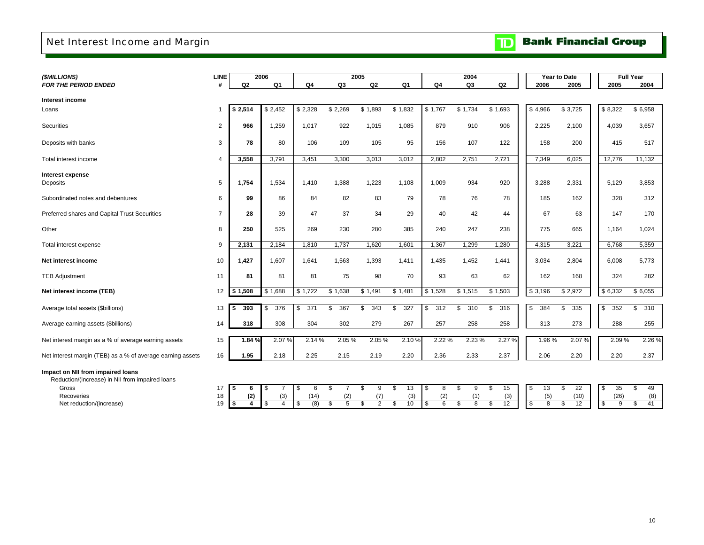### <span id="page-12-0"></span>Net Interest Income and Margin

| (\$MILLIONS)                                               | LINE           |                | 2006           |           | 2005      |           |                |                | 2004      |                |           | Year to Date |           | <b>Full Year</b> |
|------------------------------------------------------------|----------------|----------------|----------------|-----------|-----------|-----------|----------------|----------------|-----------|----------------|-----------|--------------|-----------|------------------|
| <b>FOR THE PERIOD ENDED</b>                                | #              | Q <sub>2</sub> | Q <sub>1</sub> | Q4        | Q3        | Q2        | Q <sub>1</sub> | Q <sub>4</sub> | Q3        | Q <sub>2</sub> | 2006      | 2005         | 2005      | 2004             |
| Interest income                                            |                |                |                |           |           |           |                |                |           |                |           |              |           |                  |
| Loans                                                      |                | \$2,514        | \$2,452        | \$2,328   | \$2,269   | \$1,893   | \$1,832        | \$1,767        | \$1,734   | \$1,693        | \$4,966   | \$3,725      | \$8,322   | \$6,958          |
|                                                            |                |                |                |           |           |           |                |                |           |                |           |              |           |                  |
| Securities                                                 | $\overline{2}$ | 966            | 1,259          | 1,017     | 922       | 1,015     | 1,085          | 879            | 910       | 906            | 2,225     | 2,100        | 4,039     | 3,657            |
| Deposits with banks                                        | 3              | 78             | 80             | 106       | 109       | 105       | 95             | 156            | 107       | 122            | 158       | 200          | 415       | 517              |
| Total interest income                                      | $\overline{4}$ | 3,558          | 3,791          | 3,451     | 3,300     | 3,013     | 3,012          | 2,802          | 2,751     | 2,721          | 7,349     | 6,025        | 12,776    | 11,132           |
|                                                            |                |                |                |           |           |           |                |                |           |                |           |              |           |                  |
| Interest expense<br>Deposits                               | 5              | 1,754          | 1,534          | 1,410     | 1,388     | 1,223     | 1,108          | 1,009          | 934       | 920            | 3,288     | 2,331        | 5,129     | 3,853            |
|                                                            |                |                |                |           |           |           |                |                |           |                |           |              |           |                  |
| Subordinated notes and debentures                          | 6              | 99             | 86             | 84        | 82        | 83        | 79             | 78             | 76        | 78             | 185       | 162          | 328       | 312              |
| Preferred shares and Capital Trust Securities              | $\overline{7}$ | 28             | 39             | 47        | 37        | 34        | 29             | 40             | 42        | 44             | 67        | 63           | 147       | 170              |
| Other                                                      | 8              | 250            | 525            | 269       | 230       | 280       | 385            | 240            | 247       | 238            | 775       | 665          | 1,164     | 1,024            |
| Total interest expense                                     | 9              | 2,131          | 2,184          | 1,810     | 1,737     | 1,620     | 1,601          | 1,367          | 1,299     | 1,280          | 4,315     | 3,221        | 6,768     | 5,359            |
|                                                            |                |                |                |           |           |           |                |                |           |                |           |              |           |                  |
| Net interest income                                        | 10             | 1,427          | 1,607          | 1,641     | 1,563     | 1,393     | 1,411          | 1,435          | 1,452     | 1,441          | 3,034     | 2,804        | 6,008     | 5,773            |
| <b>TEB Adjustment</b>                                      | 11             | 81             | 81             | 81        | 75        | 98        | 70             | 93             | 63        | 62             | 162       | 168          | 324       | 282              |
| Net interest income (TEB)                                  | 12             | \$1,508        | \$1,688        | \$1,722   | \$1,638   | \$1,491   | \$1,481        | \$1,528        | \$1,515   | \$1,503        | \$3,196   | \$2,972      | \$6,332   | \$6,055          |
| Average total assets (\$billions)                          | 13             | \$<br>393      | 376<br>\$      | 371<br>\$ | 367<br>\$ | \$<br>343 | 327<br>\$.     | \$<br>312      | \$<br>310 | \$<br>316      | 384<br>\$ | 335<br>\$    | \$<br>352 | \$<br>310        |
|                                                            |                |                |                |           |           |           |                |                |           |                |           |              |           |                  |
| Average earning assets (\$billions)                        | 14             | 318            | 308            | 304       | 302       | 279       | 267            | 257            | 258       | 258            | 313       | 273          | 288       | 255              |
| Net interest margin as a % of average earning assets       | 15             | 1.84%          | 2.07%          | 2.14 %    | 2.05%     | 2.05%     | 2.10%          | 2.22 %         | 2.23 %    | 2.27 %         | 1.96%     | 2.07%        | 2.09%     | 2.26 %           |
| Net interest margin (TEB) as a % of average earning assets | 16             | 1.95           | 2.18           | 2.25      | 2.15      | 2.19      | 2.20           | 2.36           | 2.33      | 2.37           | 2.06      | 2.20         | 2.20      | 2.37             |
| Impact on NII from impaired loans                          |                |                |                |           |           |           |                |                |           |                |           |              |           |                  |

Reduction/(increase) in NII from impaired loans

Gross 17<br>Recoveries 18 Recoveries

Net reduction/(increase) 19

|     |     |     |      |     | 9 | 13  |     | 8 S | - 9       | 15  | -S | 13                | $\frac{1}{2}$ | 35   |     |
|-----|-----|-----|------|-----|---|-----|-----|-----|-----------|-----|----|-------------------|---------------|------|-----|
| 8 I | (2) | (3) | (14) | (2) |   | (3) | (2) |     |           | (3) |    | (5)               | (10)          | (26) | (8) |
|     |     |     | (8)  |     |   | 10  |     |     | 6 \$ 8 \$ | 12  |    | $\sim$ 8 $\sigma$ | 12            |      |     |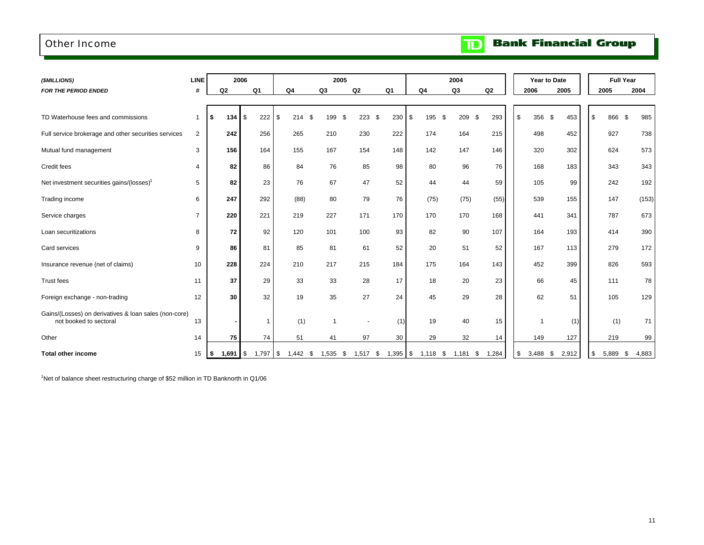### <span id="page-13-0"></span>Other Income

|  | <b>Bank Financial Group</b> |  |
|--|-----------------------------|--|
|--|-----------------------------|--|

 $\overline{\mathbf{D}}$ 

| (\$MILLIONS)                                                                    | <b>LINE</b>    |                       | 2006               |                |            | 2005       |                  |                | 2004           |               |             | Year to Date  |             | <b>Full Year</b> |
|---------------------------------------------------------------------------------|----------------|-----------------------|--------------------|----------------|------------|------------|------------------|----------------|----------------|---------------|-------------|---------------|-------------|------------------|
| <b>FOR THE PERIOD ENDED</b>                                                     | #              | Q2                    | Q <sub>1</sub>     | Q <sub>4</sub> | Q3         | Q2         | Q <sub>1</sub>   | Q <sub>4</sub> | Q <sub>3</sub> | Q2            | 2006        | 2005          | 2005        | 2004             |
|                                                                                 |                |                       |                    |                |            |            |                  |                |                |               |             |               |             |                  |
| TD Waterhouse fees and commissions                                              | 1              | \$<br>134             | $\mathbb S$<br>222 | \$<br>214      | \$<br>199  | \$<br>223  | $230$ \$<br>- \$ | 195            | 209<br>\$      | 293<br>\$     | 356<br>\$   | - \$<br>453   | 866<br>\$   | \$<br>985        |
| Full service brokerage and other securities services                            | $\overline{2}$ | 242                   | 256                | 265            | 210        | 230        | 222              | 174            | 164            | 215           | 498         | 452           | 927         | 738              |
| Mutual fund management                                                          | 3              | 156                   | 164                | 155            | 167        | 154        | 148              | 142            | 147            | 146           | 320         | 302           | 624         | 573              |
| Credit fees                                                                     | 4              | 82                    | 86                 | 84             | 76         | 85         | 98               | 80             | 96             | 76            | 168         | 183           | 343         | 343              |
| Net investment securities gains/(losses) <sup>1</sup>                           | 5              | 82                    | 23                 | 76             | 67         | 47         | 52               | 44             | 44             | 59            | 105         | 99            | 242         | 192              |
| Trading income                                                                  | 6              | 247                   | 292                | (88)           | 80         | 79         | 76               | (75)           | (75)           | (55)          | 539         | 155           | 147         | (153)            |
| Service charges                                                                 | $\overline{7}$ | 220                   | 221                | 219            | 227        | 171        | 170              | 170            | 170            | 168           | 441         | 341           | 787         | 673              |
| Loan securitizations                                                            | 8              | 72                    | 92                 | 120            | 101        | 100        | 93               | 82             | 90             | 107           | 164         | 193           | 414         | 390              |
| Card services                                                                   | 9              | 86                    | 81                 | 85             | 81         | 61         | 52               | 20             | 51             | 52            | 167         | 113           | 279         | 172              |
| Insurance revenue (net of claims)                                               | 10             | 228                   | 224                | 210            | 217        | 215        | 184              | 175            | 164            | 143           | 452         | 399           | 826         | 593              |
| <b>Trust fees</b>                                                               | 11             | 37                    | 29                 | 33             | 33         | 28         | 17               | 18             | 20             | 23            | 66          | 45            | 111         | 78               |
| Foreign exchange - non-trading                                                  | 12             | 30                    | 32                 | 19             | 35         | 27         | 24               | 45             | 29             | 28            | 62          | 51            | 105         | 129              |
| Gains/(Losses) on derivatives & loan sales (non-core)<br>not booked to sectoral | 13             |                       | $\overline{1}$     | (1)            | -1         |            | (1)              | 19             | 40             | 15            |             | (1)<br>-1     | (1)         | 71               |
| Other                                                                           | 14             | 75                    | 74                 | 51             | 41         | 97         | 30               | 29             | 32             | 14            | 149         | 127           | 219         | 99               |
| <b>Total other income</b>                                                       | 15             | $1,691$ $\sqrt$<br>\$ | $1,797$ \$         | $1,442$ \$     | $1,535$ \$ | $1,517$ \$ | $1,395$ \$       | $1,118$ \$     | 1,181          | 1,284<br>- \$ | 3,488<br>\$ | 2,912<br>- \$ | 5,889<br>\$ | 4,883<br>- \$    |

 $1$ Net of balance sheet restructuring charge of \$52 million in TD Banknorth in Q1/06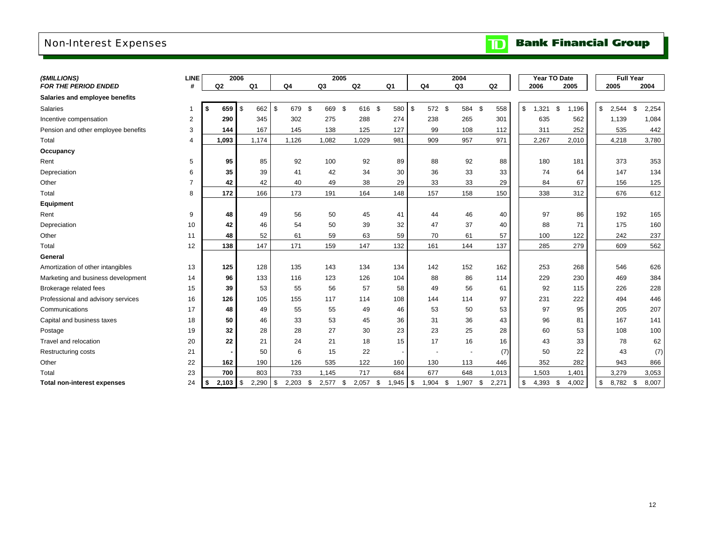### <span id="page-14-0"></span>Non-Interest Expenses

| (\$MILLIONS)                        | <b>LINE</b>    |                | 2006                |                     | 2005        |                |                  |                     | 2004        |                |             | Year TO Date |             | <b>Full Year</b> |
|-------------------------------------|----------------|----------------|---------------------|---------------------|-------------|----------------|------------------|---------------------|-------------|----------------|-------------|--------------|-------------|------------------|
| <b>FOR THE PERIOD ENDED</b>         | #              | Q <sub>2</sub> | Q1                  | Q <sub>4</sub>      | Q3          | Q <sub>2</sub> | Q1               | Q4                  | Q3          | Q <sub>2</sub> | 2006        | 2005         | 2005        | 2004             |
| Salaries and employee benefits      |                |                |                     |                     |             |                |                  |                     |             |                |             |              |             |                  |
| Salaries                            | $\mathbf 1$    | 659<br>\$      | \$<br>662           | <b>S</b><br>679 \$  | 669 \$      | 616 \$         | 580              | \$<br>572 \$        | 584         | - \$<br>558    | \$<br>1,321 | \$<br>1,196  | \$<br>2,544 | \$<br>2,254      |
| Incentive compensation              | 2              | 290            | 345                 | 302                 | 275         | 288            | 274              | 238                 | 265         | 301            | 635         | 562          | 1,139       | 1,084            |
| Pension and other employee benefits | 3              | 144            | 167                 | 145                 | 138         | 125            | 127              | 99                  | 108         | 112            | 311         | 252          |             | 442<br>535       |
| Total                               | $\overline{4}$ | 1,093          | 1,174               | 1,126               | 1,082       | 1,029          | 981              | 909                 | 957         | 971            | 2,267       | 2,010        | 4,218       | 3,780            |
| Occupancy                           |                |                |                     |                     |             |                |                  |                     |             |                |             |              |             |                  |
| Rent                                | 5              | 95             | 85                  | 92                  | 100         | 92             | 89               | 88                  | 92          | 88             | 180         | 181          |             | 353<br>373       |
| Depreciation                        | 6              | 35             | 39                  | 41                  | 42          | 34             | 30               | 36                  | 33          | 33             | 74          | 64           |             | 147<br>134       |
| Other                               | $\overline{7}$ | 42             | 42                  | 40                  | 49          | 38             | 29               | 33                  | 33          | 29             | 84          | 67           |             | 156<br>125       |
| Total                               | 8              | 172            | 166                 | 173                 | 191         | 164            | 148              | 157                 | 158         | 150            | 338         | 312          |             | 676<br>612       |
| Equipment                           |                |                |                     |                     |             |                |                  |                     |             |                |             |              |             |                  |
| Rent                                | 9              | 48             | 49                  | 56                  | 50          | 45             | 41               | 44                  | 46          | 40             | 97          | 86           |             | 192<br>165       |
| Depreciation                        | 10             | 42             | 46                  | 54                  | 50          | 39             | 32               | 47                  | 37          | 40             | 88          | 71           |             | 175<br>160       |
| Other                               | 11             | 48             | 52                  | 61                  | 59          | 63             | 59               | 70                  | 61          | 57             | 100         | 122          |             | 237<br>242       |
| Total                               | 12             | 138            | 147                 | 171                 | 159         | 147            | 132              | 161                 | 144         | 137            | 285         | 279          |             | 562<br>609       |
| General                             |                |                |                     |                     |             |                |                  |                     |             |                |             |              |             |                  |
| Amortization of other intangibles   | 13             | 125            | 128                 | 135                 | 143         | 134            | 134              | 142                 | 152         | 162            | 253         | 268          |             | 626<br>546       |
| Marketing and business development  | 14             | 96             | 133                 | 116                 | 123         | 126            | 104              | 88                  | 86          | 114            | 229         | 230          |             | 469<br>384       |
| Brokerage related fees              | 15             | 39             | 53                  | 55                  | 56          | 57             | 58               | 49                  | 56          | 61             | 92          | 115          |             | 228<br>226       |
| Professional and advisory services  | 16             | 126            | 105                 | 155                 | 117         | 114            | 108              | 144                 | 114         | 97             | 231         | 222          |             | 446<br>494       |
| Communications                      | 17             | 48             | 49                  | 55                  | 55          | 49             | 46               | 53                  | 50          | 53             | 97          | 95           |             | 207<br>205       |
| Capital and business taxes          | 18             | 50             | 46                  | 33                  | 53          | 45             | 36               | 31                  | 36          | 43             | 96          | 81           |             | 167<br>141       |
| Postage                             | 19             | 32             | 28                  | 28                  | 27          | 30             | 23               | 23                  | 25          | 28             | 60          | 53           |             | 108<br>100       |
| Travel and relocation               | 20             | 22             | 21                  | 24                  | 21          | 18             | 15               | 17                  | 16          | 16             | 43          | 33           |             | 62<br>78         |
| Restructuring costs                 | 21             |                | 50                  | 6                   | 15          | 22             |                  |                     |             | (7)            | 50          | 22           |             | 43<br>(7)        |
| Other                               | 22             | 162            | 190                 | 126                 | 535         | 122            | 160              | 130                 | 113         | 446            | 352         | 282          |             | 866<br>943       |
| Total                               | 23             | 700            | 803                 | 733                 | 1,145       | 717            | 684              | 677                 | 648         | 1,013          | 1,503       | 1,401        | 3,279       | 3,053            |
| <b>Total non-interest expenses</b>  | 24             | 2,103<br>\$    | $\sqrt{3}$<br>2,290 | $\sqrt{3}$<br>2,203 | \$<br>2,577 | - \$<br>2,057  | \$<br>,945<br>-1 | $\sqrt{3}$<br>1,904 | \$<br>1,907 | 2,271<br>\$    | \$<br>4,393 | \$<br>4,002  | \$<br>8,782 | \$<br>8,007      |

**TD** Bank Financial Group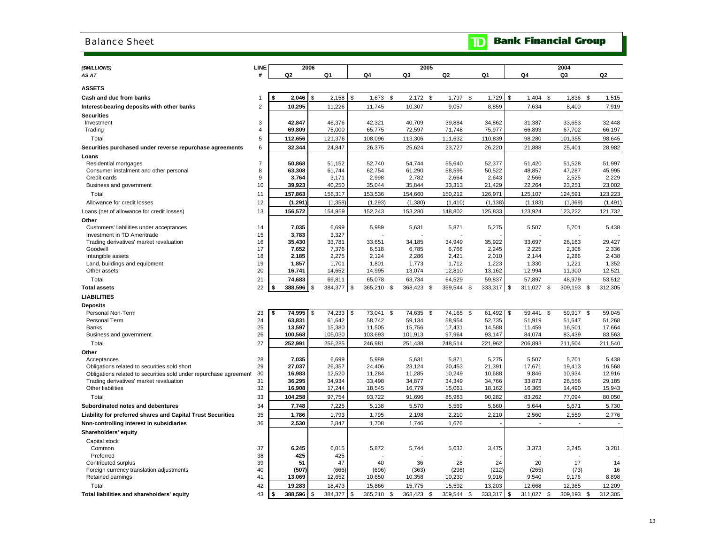#### <span id="page-15-0"></span>Balance Sheet

|  | <b>TD</b> Bank Financial Group |  |
|--|--------------------------------|--|
|  |                                |  |

| (\$MILLIONS)<br>AS AT                                             | <b>LINE</b><br># | Q <sub>2</sub>   | 2006       | Q1               | Q4               | 2005<br>Q3          | Q2               | Q1               | Q4               | 2004<br>Q3       |      | Q <sub>2</sub>   |
|-------------------------------------------------------------------|------------------|------------------|------------|------------------|------------------|---------------------|------------------|------------------|------------------|------------------|------|------------------|
|                                                                   |                  |                  |            |                  |                  |                     |                  |                  |                  |                  |      |                  |
| <b>ASSETS</b>                                                     |                  |                  |            |                  |                  |                     |                  |                  |                  |                  |      |                  |
| Cash and due from banks                                           | 1                | 2,046<br>\$      | \$         | 2,158            | \$<br>1,673      | \$<br>2,172<br>\$   | 1,797<br>\$      | 1,729            | \$<br>1,404      | \$<br>1,836      | \$   | 1,515            |
| Interest-bearing deposits with other banks                        | 2                | 10,295           |            | 11,226           | 11,745           | 10,307              | 9,057            | 8,859            | 7,634            | 8,400            |      | 7,919            |
| <b>Securities</b>                                                 |                  |                  |            |                  |                  |                     |                  |                  |                  |                  |      |                  |
| Investment                                                        | 3                | 42.847           |            | 46,376           | 42.321           | 40.709              | 39.884           | 34,862           | 31,387           | 33.653           |      | 32.448           |
| Trading                                                           | 4                | 69,809           |            | 75,000           | 65,775           | 72,597              | 71,748           | 75,977           | 66,893           | 67,702           |      | 66,197           |
| Total                                                             | 5                | 112,656          |            | 121,376          | 108,096          | 113,306             | 111,632          | 110,839          | 98,280           | 101,355          |      | 98,645           |
| Securities purchased under reverse repurchase agreements          | 6                | 32,344           |            | 24,847           | 26,375           | 25,624              | 23,727           | 26,220           | 21,888           | 25,401           |      | 28,982           |
| Loans                                                             |                  |                  |            |                  |                  |                     |                  |                  |                  |                  |      |                  |
| Residential mortgages                                             | $\overline{7}$   | 50,868           |            | 51,152           | 52,740           | 54,744              | 55,640           | 52,377           | 51,420           | 51,528           |      | 51,997           |
| Consumer instalment and other personal                            | 8                | 63,308           |            | 61,744           | 62,754           | 61,290              | 58,595           | 50,522           | 48,857           | 47,287           |      | 45,995           |
| Credit cards<br>Business and government                           | 9<br>10          | 3,764<br>39,923  |            | 3,171<br>40,250  | 2,998<br>35,044  | 2,782<br>35,844     | 2,664<br>33,313  | 2,643<br>21,429  | 2,566<br>22,264  | 2,525<br>23,251  |      | 2,229<br>23,002  |
| Total                                                             | 11               | 157,863          |            | 156,317          | 153,536          | 154,660             | 150,212          | 126,971          | 125,107          | 124,591          |      | 123,223          |
|                                                                   | 12               | (1, 291)         |            | (1, 358)         | (1, 293)         | (1, 380)            | (1, 410)         |                  |                  | (1, 369)         |      | (1, 491)         |
| Allowance for credit losses                                       | 13               |                  |            | 154,959          |                  |                     |                  | (1, 138)         | (1, 183)         | 123,222          |      | 121,732          |
| Loans (net of allowance for credit losses)                        |                  | 156,572          |            |                  | 152,243          | 153,280             | 148,802          | 125,833          | 123,924          |                  |      |                  |
| Other<br>Customers' liabilities under acceptances                 | 14               | 7,035            |            | 6,699            | 5,989            | 5,631               | 5,871            | 5,275            | 5,507            | 5,701            |      | 5,438            |
| Investment in TD Ameritrade                                       | 15               | 3,783            |            | 3,327            |                  |                     |                  |                  |                  |                  |      |                  |
| Trading derivatives' market revaluation                           | 16               | 35,430           |            | 33,781           | 33,651           | 34,185              | 34,949           | 35,922           | 33,697           | 26,163           |      | 29,427           |
| Goodwill                                                          | 17               | 7,652            |            | 7,376            | 6,518            | 6,785               | 6,766            | 2,245            | 2,225            | 2,308            |      | 2,336            |
| Intangible assets                                                 | 18               | 2,185            |            | 2,275            | 2,124            | 2,286               | 2,421            | 2,010            | 2,144            | 2,286            |      | 2,438            |
| Land, buildings and equipment                                     | 19               | 1,857            |            | 1,701            | 1,801            | 1,773               | 1,712            | 1,223            | 1,330            | 1,221            |      | 1,352            |
| Other assets                                                      | 20               | 16,741           |            | 14,652           | 14,995           | 13,074              | 12,810           | 13,162           | 12,994           | 11,300           |      | 12,521           |
| Total                                                             | 21               | 74,683           |            | 69,811           | 65,078           | 63,734              | 64,529           | 59,837           | 57,897           | 48,979           |      | 53,512           |
| <b>Total assets</b>                                               | 22               | 388,596<br>\$    | \$         | 384,377          | \$<br>365,210 \$ | 368,423<br>- \$     | 359,544<br>\$    | 333,317          | \$<br>311,027    | \$<br>309,193    | - \$ | 312,305          |
| <b>LIABILITIES</b>                                                |                  |                  |            |                  |                  |                     |                  |                  |                  |                  |      |                  |
| Deposits                                                          |                  |                  |            |                  |                  |                     |                  |                  |                  |                  |      |                  |
| Personal Non-Term                                                 | 23<br>24         | 74,995<br>\$     | \$         | 74,233           | \$<br>73,041     | \$<br>74,635<br>\$  | 74,165 \$        | 61,492           | \$<br>59,441     | \$<br>59,917 \$  |      | 59,045           |
| Personal Term<br>Banks                                            | 25               | 63,831<br>13,597 |            | 61,642<br>15,380 | 58,742<br>11,505 | 59,134<br>15,756    | 58,954<br>17,431 | 52,735<br>14,588 | 51,919<br>11,459 | 51,647<br>16,501 |      | 51,268<br>17,664 |
| Business and government                                           | 26               | 100,568          |            | 105,030          | 103,693          | 101,913             | 97,964           | 93,147           | 84,074           | 83,439           |      | 83,563           |
| Total                                                             | 27               | 252,991          |            | 256,285          | 246,981          | 251,438             | 248,514          | 221,962          | 206,893          | 211,504          |      | 211,540          |
| Other                                                             |                  |                  |            |                  |                  |                     |                  |                  |                  |                  |      |                  |
| Acceptances                                                       | 28               | 7,035            |            | 6,699            | 5,989            | 5,631               | 5,871            | 5,275            | 5,507            | 5,701            |      | 5,438            |
| Obligations related to securities sold short                      | 29               | 27,037           |            | 26,357           | 24,406           | 23,124              | 20,453           | 21,391           | 17,671           | 19,413           |      | 16,568           |
| Obligations related to securities sold under repurchase agreement | 30               | 16,983           |            | 12,520           | 11,284           | 11,285              | 10,249           | 10,688           | 9,846            | 10,934           |      | 12,916           |
| Trading derivatives' market revaluation                           | 31               | 36,295           |            | 34,934           | 33,498           | 34,877              | 34,349           | 34,766           | 33,873           | 26,556           |      | 29,185           |
| Other liabilities                                                 | 32               | 16,908           |            | 17,244           | 18,545           | 16,779              | 15,061           | 18,162           | 16,365           | 14,490           |      | 15,943           |
| Total                                                             | 33               | 104,258          |            | 97,754           | 93,722           | 91,696              | 85,983           | 90,282           | 83,262           | 77,094           |      | 80,050           |
| Subordinated notes and debentures                                 | 34               | 7,748            |            | 7,225            | 5,138            | 5,570               | 5,569            | 5,660            | 5,644            | 5,671            |      | 5,730            |
| Liability for preferred shares and Capital Trust Securities       | 35               | 1,786            |            | 1,793            | 1,795            | 2,198               | 2,210            | 2,210            | 2,560            | 2,559            |      | 2,776            |
| Non-controlling interest in subsidiaries                          | 36               | 2,530            |            | 2,847            | 1,708            | 1,746               | 1,676            |                  | ÷.               | $\overline{a}$   |      |                  |
| Shareholders' equity                                              |                  |                  |            |                  |                  |                     |                  |                  |                  |                  |      |                  |
| Capital stock                                                     |                  |                  |            |                  |                  |                     |                  |                  |                  |                  |      |                  |
| Common                                                            | 37               | 6,245            |            | 6,015            | 5,872            | 5,744               | 5,632            | 3,475            | 3,373            | 3,245            |      | 3,281            |
| Preferred<br>Contributed surplus                                  | 38<br>39         | 425<br>51        |            | 425<br>47        | 40               | 36                  | 28               | 24               | 20               | 17               |      | 14               |
| Foreign currency translation adjustments                          | 40               | (507)            |            | (666)            | (696)            | (363)               | (298)            | (212)            | (265)            | (73)             |      | 16               |
| Retained earnings                                                 | 41               | 13,069           |            | 12,652           | 10,650           | 10,358              | 10,230           | 9,916            | 9,540            | 9,176            |      | 8,898            |
| Total                                                             | 42               | 19,283           |            | 18,473           | 15,866           | 15,775              | 15,592           | 13,203           | 12,668           | 12,365           |      | 12,209           |
| Total liabilities and shareholders' equity                        | 43               | 388,596<br>\$    | $\sqrt{3}$ | 384,377          | \$<br>365,210    | \$<br>368,423<br>\$ | 359,544<br>\$    | 333,317 \$       | 311,027          | \$<br>309,193    | \$   | 312,305          |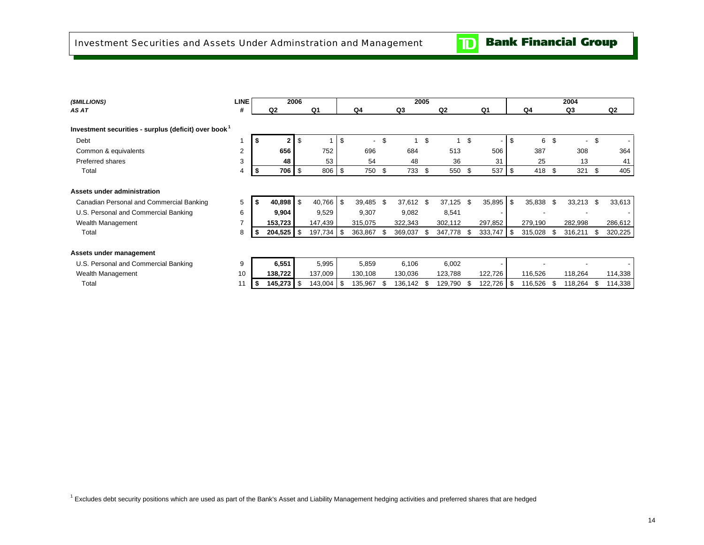$\mathbf{D}$ 

<span id="page-16-0"></span>

| (\$MILLIONS)                                                     | <b>LINE</b><br>2006<br>Q2<br># |      |              |      |         |    |                          |      |                | 2005 |                |      |         |     |         |    | 2004                     |      |                |
|------------------------------------------------------------------|--------------------------------|------|--------------|------|---------|----|--------------------------|------|----------------|------|----------------|------|---------|-----|---------|----|--------------------------|------|----------------|
| AS AT                                                            |                                |      |              |      | Q1      |    | Q4                       |      | Q <sub>3</sub> |      | Q <sub>2</sub> |      | Q1      |     | Q4      |    | Q3                       |      | Q <sub>2</sub> |
| Investment securities - surplus (deficit) over book <sup>1</sup> |                                |      |              |      |         |    |                          |      |                |      |                |      |         |     |         |    |                          |      |                |
| Debt                                                             |                                | S    | $\mathbf{2}$ | \$   |         | \$ | $\overline{\phantom{0}}$ | \$   | 4              | \$   |                | \$   |         | \$  | 6       | \$ | $\overline{\phantom{a}}$ | \$   |                |
| Common & equivalents                                             | $\overline{2}$                 |      | 656          |      | 752     |    | 696                      |      | 684            |      | 513            |      | 506     |     | 387     |    | 308                      |      | 364            |
| Preferred shares                                                 | 3                              |      | 48           |      | 53      |    | 54                       |      | 48             |      | 36             |      | 31      |     | 25      |    | 13                       |      | 41             |
| Total                                                            | 4                              | -\$  | 706          | l \$ | 806     | \$ | 750 \$                   |      | 733            | \$   | 550 \$         |      | 537     | \$  | 418     | \$ | 321                      | - \$ | 405            |
|                                                                  |                                |      |              |      |         |    |                          |      |                |      |                |      |         |     |         |    |                          |      |                |
| Assets under administration                                      |                                |      |              |      |         |    |                          |      |                |      |                |      |         |     |         |    |                          |      |                |
| Canadian Personal and Commercial Banking                         | 5                              |      | 40,898       | \$   | 40,766  | \$ | 39,485 \$                |      | 37,612         | \$   | 37,125         | - \$ | 35,895  | \$  | 35,838  | -S | 33,213                   | - \$ | 33,613         |
| U.S. Personal and Commercial Banking                             | 6                              |      | 9,904        |      | 9,529   |    | 9,307                    |      | 9,082          |      | 8,541          |      |         |     |         |    |                          |      |                |
| Wealth Management                                                | $\overline{7}$                 |      | 153,723      |      | 147,439 |    | 315,075                  |      | 322,343        |      | 302,112        |      | 297,852 |     | 279,190 |    | 282,998                  |      | 286,612        |
| Total                                                            | 8                              | \$   | 204,525      | -\$  | 197,734 | \$ | 363,867                  | - \$ | 369,037        | \$   | 347,778 \$     |      | 333,747 | \$  | 315,028 |    | 316,211                  | - \$ | 320,225        |
| Assets under management                                          |                                |      |              |      |         |    |                          |      |                |      |                |      |         |     |         |    |                          |      |                |
| U.S. Personal and Commercial Banking                             | 9                              |      | 6,551        |      | 5,995   |    | 5,859                    |      | 6,106          |      | 6,002          |      |         |     |         |    |                          |      |                |
| Wealth Management                                                | 10                             |      | 138,722      |      | 137,009 |    | 130,108                  |      | 130,036        |      | 123,788        |      | 122,726 |     | 116,526 |    | 118,264                  |      | 114,338        |
| Total                                                            | 11                             | - 56 | 145,273      | -\$  | 143,004 | \$ | 135,967                  | - \$ | 136,142        | - \$ | 129,790        | - \$ | 122,726 | -\$ | 116,526 |    | 118,264                  | - \$ | 114,338        |
|                                                                  |                                |      |              |      |         |    |                          |      |                |      |                |      |         |     |         |    |                          |      |                |

<sup>1</sup> Excludes debt security positions which are used as part of the Bank's Asset and Liability Management hedging activities and preferred shares that are hedged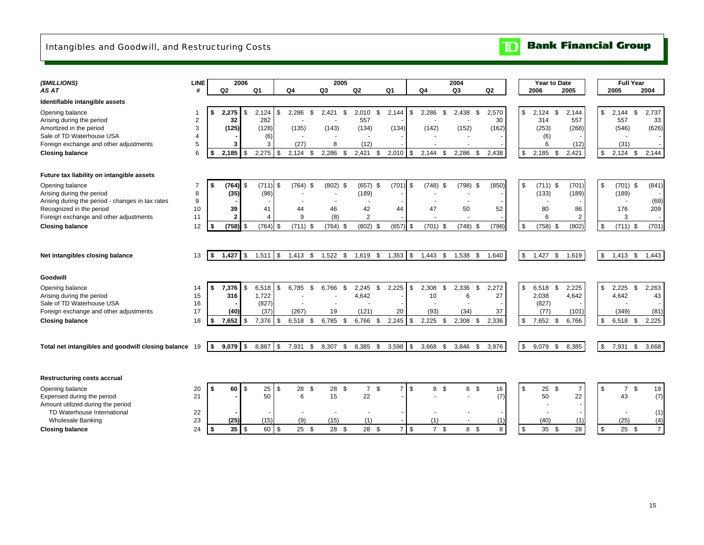### <span id="page-17-0"></span>Intangibles and Goodwill, and Restructuring Costs

 $\overline{\mathbf{D}}$ **Bank Financial Group** 

| (\$MILLIONS)                                                                                                                                   | <b>LINE</b>                        |                | 2006                          |                                                       |           |                                     | 2005                 |                                                |                                    |            |                                            | 2004                                     |                            |               | Year to Date                                   |                                  |           | <b>Full Year</b>                 |                                          |
|------------------------------------------------------------------------------------------------------------------------------------------------|------------------------------------|----------------|-------------------------------|-------------------------------------------------------|-----------|-------------------------------------|----------------------|------------------------------------------------|------------------------------------|------------|--------------------------------------------|------------------------------------------|----------------------------|---------------|------------------------------------------------|----------------------------------|-----------|----------------------------------|------------------------------------------|
| AS AT                                                                                                                                          |                                    | Q <sub>2</sub> |                               | Q <sub>1</sub>                                        |           | Q4                                  | Q <sub>3</sub>       | Q <sub>2</sub>                                 | Q1                                 |            | Q4                                         | Q3                                       | Q <sub>2</sub>             |               | 2006                                           | 2005                             |           | 2005                             | 2004                                     |
| Identifiable intangible assets                                                                                                                 |                                    |                |                               |                                                       |           |                                     |                      |                                                |                                    |            |                                            |                                          |                            |               |                                                |                                  |           |                                  |                                          |
| Opening balance<br>Arising during the period<br>Amortized in the period<br>Sale of TD Waterhouse USA<br>Foreign exchange and other adjustments | 1<br>$\overline{2}$<br>3<br>4<br>5 | \$             | 2.275<br>32<br>(125)<br>3     | $\mathfrak{s}$<br>2,124<br>282<br>(128)<br>(6)<br>3   | \$        | 2.286<br>\$<br>(135)<br>(27)        | 2,421<br>(143)<br>8  | 2,010<br>\$<br>557<br>(134)<br>(12)            | <b>S</b><br>2,144<br>(134)         | \$         | 2,286<br>\$<br>(142)                       | 2,438<br>\$<br>(152)                     | 2,570<br>30<br>(162)       | \$            | <b>S</b><br>2.124<br>314<br>(253)<br>(6)<br>6  | 2,144<br>557<br>(268)<br>(12)    | \$        | 2.144<br>557<br>(546)<br>(31)    | \$<br>2,737<br>33<br>(626)               |
| <b>Closing balance</b>                                                                                                                         | 6                                  | \$             | 2,185                         | 2,275<br>$\sqrt{3}$                                   | <b>\$</b> | 2,124<br>\$                         | 2,286                | 2,421<br>\$                                    | 2,010<br>\$                        | l \$       | 2,144<br>\$                                | 2,286<br>\$                              | 2,438                      | \$            | 2,185<br>- \$                                  | 2,421                            | \$        | 2,124                            | \$<br>2,144                              |
| Future tax liability on intangible assets<br>Opening balance                                                                                   | 7                                  | \$             | (764)                         | (711)<br>\$                                           | \$        | $(764)$ \$                          | $(802)$ \$           | $(657)$ \$                                     | $(701)$ \$                         |            | $(748)$ \$                                 | $(798)$ \$                               | (850)                      | \$            | $(711)$ \$                                     | (701)                            | \$        | $(701)$ \$                       | (841)                                    |
| Arising during the period<br>Arising during the period - changes in tax rates<br>Recognized in the period                                      | 8<br>9<br>10                       |                | (35)<br>39                    | (98)<br>41                                            |           | 44                                  | 46                   | (189)<br>42                                    | 44                                 |            | 47                                         | 50                                       | 52                         |               | (133)<br>$\blacksquare$<br>80                  | (189)<br>86                      |           | (189)<br>176                     | (69)<br>209                              |
| Foreign exchange and other adjustments<br><b>Closing balance</b>                                                                               | 11<br>12                           | \$             | $\overline{2}$<br>$(758)$ \$  | 4<br>$(764)$ \$                                       |           | 9<br>$(711)$ \$                     | (8)<br>$(764)$ \$    | $\overline{2}$<br>$(802)$ \$                   | $(657)$ \$                         |            | $(701)$ \$                                 | $(748)$ \$                               | (798)                      | \$            | 6<br>$(758)$ \$                                | $\overline{2}$<br>(802)          | \$        | 3<br>$(711)$ \$                  | (701)                                    |
| Net intangibles closing balance                                                                                                                | 13                                 | \$             | 1,427                         | l \$<br>1,511                                         | <b>\$</b> | $1,413$ \$                          | $1,522$ \$           | 1,619 \$                                       | 1,353                              | $\sqrt{3}$ | $1,443$ \$                                 | 1,538<br>\$                              | 1,640                      | $\mathfrak s$ | 1,427<br>\$                                    | 1,619                            | \$        | $1,413$ \$                       | 1,443                                    |
| Goodwill                                                                                                                                       |                                    |                |                               |                                                       |           |                                     |                      |                                                |                                    |            |                                            |                                          |                            |               |                                                |                                  |           |                                  |                                          |
| Opening balance<br>Arising during the period<br>Sale of TD Waterhouse USA<br>Foreign exchange and other adjustments<br><b>Closing balance</b>  | 14<br>15<br>16<br>17<br>18         | \$             | 7,376<br>316<br>(40)<br>7,652 | \$<br>6,518<br>1,722<br>(827)<br>(37)<br>\$.<br>7,376 | \$<br>\$  | 6.785<br>\$<br>(267)<br>6,518<br>\$ | 6,766<br>19<br>6,785 | 2,245<br>\$<br>4,642<br>(121)<br>6,766<br>- \$ | 2.225<br>\$.<br>20<br>2,245<br>-\$ | \$<br>l \$ | 2.308<br>\$<br>10<br>(93)<br>2,225<br>- \$ | 2.336<br>\$<br>6<br>(34)<br>2,308<br>-\$ | 2,272<br>27<br>37<br>2,336 | \$<br>\$      | 6,518 \$<br>2,038<br>(827)<br>(77)<br>7,652 \$ | 2,225<br>4,642<br>(101)<br>6,766 | \$<br>\$. | 2,225<br>4,642<br>(349)<br>6,518 | \$<br>2,263<br>43<br>(81)<br>2.225<br>\$ |
| Total net intangibles and goodwill closing balance                                                                                             | 19                                 | \$             | $9,079$ \$                    | 8,887 \$                                              |           | 7,931<br>\$                         | 8,307 \$             | 8,385 \$                                       | 3,598                              | l \$       | 3,668<br>\$                                | 3,846<br>- \$                            | 3,976                      | \$            | 9,079<br>\$                                    | 8,385                            | \$        | 7,931 \$                         | 3,668                                    |
| <b>Restructuring costs accrual</b>                                                                                                             |                                    |                |                               |                                                       |           |                                     |                      |                                                |                                    |            |                                            |                                          |                            |               |                                                |                                  |           |                                  |                                          |
| Opening balance<br>Expensed during the period<br>Amount utilized during the period<br>TD Waterhouse International<br><b>Wholesale Banking</b>  | 20<br>21<br>22<br>23               | \$             | 60<br>(25)                    | \$<br>25<br>50<br>(15)                                | \$        | 28<br>\$<br>6<br>(9)                | 28 \$<br>15<br>(15)  | 7 <sup>°</sup><br>22<br>(1)                    | $\overline{7}$                     | \$         | \$<br>8<br>(1)                             | 8 \$                                     | 16<br>(7)<br>(1)           | \$            | 25<br>\$<br>50<br>(40)                         | $\overline{7}$<br>22<br>(1)      | \$        | $\overline{7}$<br>43<br>(25)     | \$<br>19<br>(7)<br>(1)<br>(4)            |
| <b>Closing balance</b>                                                                                                                         | 24                                 | \$             | $35$ \ $\sqrt{3}$             |                                                       | 60 \$     | $25 \quad$                          | 28 \$                | 28 \$                                          | $\overline{7}$                     | $\sqrt{3}$ | 7 <sup>°</sup>                             | 8 \$                                     | 8                          | \$            | 35S                                            | 28                               | \$        | $25$ \$                          | $\overline{7}$                           |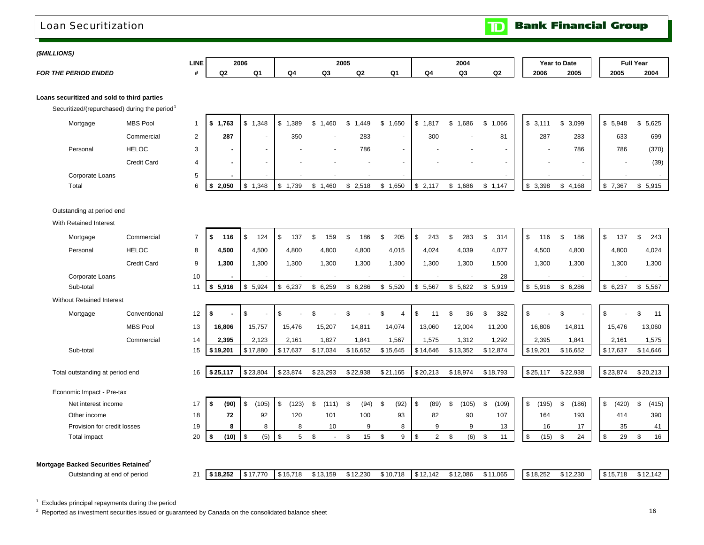### <span id="page-18-0"></span>Loan Securitization

**Bank Financial Group**  $\mathbf{D}$ 

#### *(\$MILLIONS)*

*FOR THE PERIOD ENDED*

| LINE | 2006 |    |    | 2005   |    |    |    | 2004 |         |      | <b>Year to Date</b> | <b>Full Year</b> |      |
|------|------|----|----|--------|----|----|----|------|---------|------|---------------------|------------------|------|
|      | Q2   | Q' | Q4 | ົ<br>ີ | Q2 | Ο1 | Q4 | Q3   | ົ<br>uz | 2006 | 2005                | 2005             | 2004 |

#### **Loans securitized and sold to third parties**

Securitized/(repurchased) during the period<sup>1</sup>

|       | Mortgage        | <b>MBS Pool</b> | 1,763<br>- 30 | ,348                     | 1,389                    | ,460   | ,449  | .650 | 1,817 | 1,686<br>æ | \$1,066 | \$3,111                  | 3,099<br>ъ. | 5,948<br>ა            | \$5,625 |
|-------|-----------------|-----------------|---------------|--------------------------|--------------------------|--------|-------|------|-------|------------|---------|--------------------------|-------------|-----------------------|---------|
|       |                 | Commercial      | 287           | $\overline{\phantom{a}}$ | 350                      | -      | 283   |      | 300   |            | 81      | 287                      | 283         | 633                   | 699     |
|       | Personal        | <b>HELOC</b>    |               | $\overline{\phantom{a}}$ | $\overline{\phantom{0}}$ | -      | 786   |      |       |            |         | -                        | 786         | 786                   | (370)   |
|       |                 | Credit Card     |               | $\overline{\phantom{a}}$ | $\sim$                   | $\sim$ |       |      |       |            |         | $\overline{\phantom{a}}$ |             |                       | (39)    |
|       | Corporate Loans |                 |               |                          | $\overline{\phantom{a}}$ | -      |       |      |       |            |         | $\overline{\phantom{0}}$ |             |                       |         |
| Total |                 |                 | 2,050         | ,348                     | .739                     | ,460   | 2,518 | ,650 | 2,117 | 0.686      | \$1,147 | 3,398<br>Φ               | 4,168       | $^{\circ}$ ,367<br>৾ঌ | \$5,915 |

#### Outstanding at period end

With Retained Interest

| Mortgage                                                                         | Commercial         | $\overline{7}$ | \$<br>116  | \$<br>124            | \$<br>137   | £.<br>159    | 186<br>\$        | 205<br>£.                   | 243<br>\$            | 283<br>\$.  | 314<br>\$   | 116<br>\$   | 186<br>£.                | $\mathbb{S}$<br>137 | \$<br>243   |
|----------------------------------------------------------------------------------|--------------------|----------------|------------|----------------------|-------------|--------------|------------------|-----------------------------|----------------------|-------------|-------------|-------------|--------------------------|---------------------|-------------|
| Personal                                                                         | <b>HELOC</b>       | 8              | 4,500      | 4,500                | 4,800       | 4,800        | 4,800            | 4,015                       | 4,024                | 4,039       | 4,077       | 4,500       | 4,800                    | 4,800               | 4,024       |
|                                                                                  | <b>Credit Card</b> | 9              | 1,300      | 1,300                | 1.300       | 1,300        | 1,300            | 1,300                       | 1,300                | 1,300       | 1,500       | 1,300       | 1,300                    | 1,300               | 1,300       |
| Corporate Loans                                                                  |                    | 10             |            |                      |             |              |                  | $\blacksquare$              |                      |             | 28          |             | $\overline{\phantom{0}}$ |                     | $\sim$      |
| Sub-total                                                                        |                    | 11             | \$5,916    | \$<br>5,924          | \$<br>6,237 | \$6,259      | 6,286<br>\$      | \$5,520                     | \$5,567              | \$5,622     | \$5,919     | \$5,916     | \$6,286                  | \$6,237             | \$5,567     |
| <b>Without Retained Interest</b>                                                 |                    |                |            |                      |             |              |                  |                             |                      |             |             |             |                          |                     |             |
| Mortgage                                                                         | Conventional       | 12             | \$         | \$<br>$\blacksquare$ | \$          | £.           |                  | \$<br>$\boldsymbol{\Delta}$ | \$<br>11             | 36<br>£.    | 382<br>\$   | \$          | £.                       | \$                  | \$.<br>11   |
|                                                                                  | <b>MBS Pool</b>    | 13             | 16,806     | 15,757               | 15,476      | 15,207       | 14,811           | 14,074                      | 13,060               | 12,004      | 11,200      | 16,806      | 14,811                   | 15,476              | 13,060      |
|                                                                                  | Commercial         | 14             | 2,395      | 2,123                | 2,161       | 1,827        | 1,841            | 1,567                       | 1,575                | 1,312       | 1,292       | 2,395       | 1,841                    | 2,161               | 1,575       |
| Sub-total                                                                        |                    | 15             | \$19,201   | \$17,880             | \$17,637    | \$17,034     | \$16,652         | \$15,645                    | \$14,646             | \$13,352    | \$12,874    | \$19,201    | \$16,652                 | \$17,637            | \$14,646    |
|                                                                                  |                    |                |            |                      |             |              |                  |                             |                      |             |             |             |                          |                     |             |
| Total outstanding at period end                                                  |                    | 16             | \$25,117   | \$23,804             | \$23,874    | \$23,293     | \$22,938         | \$21,165                    | \$20,213             | \$18,974    | \$18,793    | \$25,117    | \$22,938                 | \$23,874            | \$20,213    |
| Economic Impact - Pre-tax                                                        |                    |                |            |                      |             |              |                  |                             |                      |             |             |             |                          |                     |             |
| Net interest income                                                              |                    | 17             | \$<br>(90) | \$<br>(105)          | \$<br>(123) | \$<br>(111)  | <b>S</b><br>(94) | \$<br>(92)                  | -\$<br>(89)          | \$<br>(105) | (109)<br>\$ | \$<br>(195) | (186)<br>\$.             | \$<br>(420)         | \$<br>(415) |
| Other income                                                                     |                    | 18             | 72         | 92                   | 120         | 101          | 100              | 93                          | 82                   | 90          | 107         | 164         | 193                      | 414                 | 390         |
| Provision for credit losses                                                      |                    | 19             | 8          | 8                    | 8           | 10           | 9                | 8                           | 9                    | 9           | 13          | 16          | 17                       | 35                  | 41          |
| Total impact                                                                     |                    | 20             | (10)<br>S  | \$<br>(5)            | \$<br>5     | \$<br>$\sim$ | \$<br>15         | \$<br>9                     | $\overline{2}$<br>\$ | (6)<br>\$   | \$<br>11    | (15)<br>\$  | 24<br>\$                 | \$<br>29            | 16<br>\$    |
|                                                                                  |                    |                |            |                      |             |              |                  |                             |                      |             |             |             |                          |                     |             |
|                                                                                  |                    |                |            |                      |             |              |                  |                             |                      |             |             |             |                          |                     |             |
| Mortgage Backed Securities Retained <sup>2</sup><br>Outstanding at end of period |                    | 21             | \$18,252   | \$17,770             | \$15,718    | \$13,159     | \$12,230         | \$10,718                    | \$12,142             | \$12,086    | \$11,065    | \$18.252    | \$12,230                 | \$15,718            | \$12,142    |
|                                                                                  |                    |                |            |                      |             |              |                  |                             |                      |             |             |             |                          |                     |             |

 $1$  Excludes principal repayments during the period

<sup>2</sup> Reported as investment securities issued or guaranteed by Canada on the consolidated balance sheet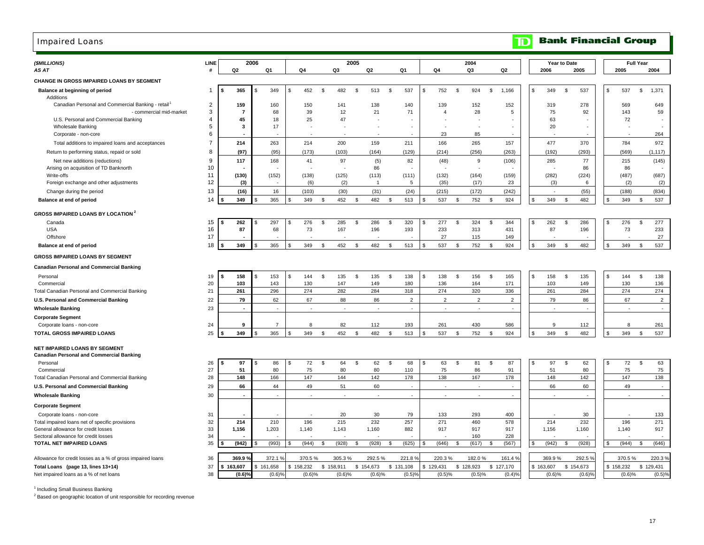### <span id="page-19-0"></span>Impaired Loans

### **TD** Bank Financial Group

| (\$MILLIONS)<br>AS AT                                                                  | LINE           | Q <sub>2</sub>    | 2006 | Q1                  | Q4             |                      | Q3                  | 2005 | Q <sub>2</sub>      |           | Q1             |    | Q4                       |      | 2004<br>Q3               |      | Q2                                |     | 2006                | Year to Date | 2005                   |     | 2005                | <b>Full Year</b> | 2004                |
|----------------------------------------------------------------------------------------|----------------|-------------------|------|---------------------|----------------|----------------------|---------------------|------|---------------------|-----------|----------------|----|--------------------------|------|--------------------------|------|-----------------------------------|-----|---------------------|--------------|------------------------|-----|---------------------|------------------|---------------------|
| <b>CHANGE IN GROSS IMPAIRED LOANS BY SEGMENT</b>                                       |                |                   |      |                     |                |                      |                     |      |                     |           |                |    |                          |      |                          |      |                                   |     |                     |              |                        |     |                     |                  |                     |
| Balance at beginning of period<br>Additions                                            | 1              | 365               |      | 349                 | \$             | 452<br>\$            | 482                 | -S   | 513                 | \$        | 537            | \$ | 752                      | -S   | 924                      | \$   | 1,166                             | \$. | 349                 | \$           | 537                    | \$  | 537                 | \$               | 1,371               |
| Canadian Personal and Commercial Banking - retail                                      | $\overline{2}$ | 159               |      | 160                 |                | 150                  | 141                 |      | 138                 |           | 140            |    | 139                      |      | 152                      |      | 152                               |     | 319                 |              | 278                    |     | 569                 |                  | 649                 |
| - commercial mid-market                                                                | 3              | $\overline{7}$    |      | 68                  |                | 39                   | 12                  |      | 21                  |           | 71             |    | $\overline{4}$           |      | 28                       |      | $\overline{5}$                    |     | 75                  |              | 92                     |     | 143                 |                  | 59                  |
| U.S. Personal and Commercial Banking                                                   | $\overline{4}$ | 45                |      | 18                  |                | 25                   | 47                  |      |                     |           |                |    |                          |      |                          |      |                                   |     | 63                  |              |                        |     | 72                  |                  |                     |
| <b>Wholesale Banking</b>                                                               | 5<br>6         | 3                 |      | 17                  |                |                      |                     |      | ÷.                  |           |                |    | $\overline{a}$           |      | $\sim$                   |      |                                   |     | 20                  |              |                        |     |                     |                  | ٠                   |
| Corporate - non-core                                                                   |                |                   |      |                     |                |                      |                     |      |                     |           |                |    | 23                       |      | 85                       |      |                                   |     |                     |              |                        |     |                     |                  | 264                 |
| Total additions to impaired loans and acceptances                                      | $\overline{7}$ | 214               |      | 263                 |                | 214                  | 200                 |      | 159                 |           | 211            |    | 166                      |      | 265                      |      | 157                               |     | 477                 |              | 370                    |     | 784                 |                  | 972                 |
| Return to performing status, repaid or sold                                            | 8              | (97)              |      | (95)                |                | (173)                | (103)               |      | (164)               |           | (129)          |    | (214)                    |      | (256)                    |      | (263)                             |     | (192)               |              | (293)                  |     | (569)               |                  | (1, 117)            |
| Net new additions (reductions)                                                         | 9<br>10        | 117               |      | 168                 |                | 41                   | 97                  |      | (5)<br>86           |           | 82             |    | (48)                     |      | 9                        |      | (106)                             |     | 285                 |              | 77<br>86               |     | 215<br>86           |                  | (145)               |
| Arising on acquisition of TD Banknorth<br>Write-offs                                   | 11             | (130)             |      | (152)               |                | (138)                | (125)               |      | (113)               |           | (111)          |    | (132)                    |      | (164)                    |      | (159)                             |     | (282)               |              | (224)                  |     | (487)               |                  | (687)               |
| Foreign exchange and other adjustments                                                 | 12             | (3)               |      |                     |                | (6)                  | (2)                 |      | $\overline{1}$      |           | $\,$ 5 $\,$    |    | (35)                     |      | (17)                     |      | 23                                |     | (3)                 |              | 6                      |     | (2)                 |                  | (2)                 |
| Change during the period                                                               | 13             | (16)              |      | 16                  |                | (103)                | (30)                |      | (31)                |           | (24)           |    | (215)                    |      | (172)                    |      | (242)                             |     | $\sim$              |              | (55)                   |     | (188)               |                  | (834)               |
| Balance at end of period                                                               | 14             | 349               |      | 365                 | $\mathfrak{L}$ | 349<br>\$            | 452                 | \$   | 482                 | \$        | 513            | \$ | 537                      | \$   | 752                      | \$   | 924                               | \$  | 349                 | \$           | 482                    | \$  | 349                 | \$               | 537                 |
| <b>GROSS IMPAIRED LOANS BY LOCATION 2</b>                                              |                |                   |      |                     |                |                      |                     |      |                     |           |                |    |                          |      |                          |      |                                   |     |                     |              |                        |     |                     |                  |                     |
| Canada                                                                                 | 15             | 262               |      | 297                 | \$             | 276<br>\$            | 285                 | -S   | 286                 | \$        | 320            | \$ | 277                      | \$   | 324                      | \$   | 344                               | \$. | 262                 | \$           | 286                    | \$. | 276                 | \$               | 277                 |
| <b>USA</b>                                                                             | 16             | 87                |      | 68                  |                | 73                   | 167                 |      | 196                 |           | 193            |    | 233                      |      | 313                      |      | 431                               |     | 87                  |              | 196                    |     | 73                  |                  | 233                 |
| Offshore                                                                               | 17             |                   |      |                     |                |                      |                     |      |                     |           |                |    | 27                       |      | 115                      |      | 149                               |     |                     |              |                        |     |                     |                  | 27                  |
| Balance at end of period                                                               | 18             | 349               |      | 365                 | \$             | 349<br>$\mathfrak s$ | 452                 | S    | 482                 | \$        | 513            | S. | 537                      | \$   | 752                      | \$   | 924                               |     | 349                 | \$           | 482                    |     | 349                 | Ŝ.               | 537                 |
| <b>GROSS IMPAIRED LOANS BY SEGMENT</b>                                                 |                |                   |      |                     |                |                      |                     |      |                     |           |                |    |                          |      |                          |      |                                   |     |                     |              |                        |     |                     |                  |                     |
| <b>Canadian Personal and Commercial Banking</b>                                        |                |                   |      |                     |                |                      |                     |      |                     |           |                |    |                          |      |                          |      |                                   |     |                     |              |                        |     |                     |                  |                     |
| Personal                                                                               | 19             | 158<br>S          |      | 153                 | \$             | 144<br>$\mathfrak s$ | 135                 | S,   | 135                 | \$        | 138            | \$ | 138                      | \$   | 156                      | -S   | 165                               | \$  | 158                 | <b>S</b>     | 135                    | S.  | 144                 | Ŝ.               | 138                 |
| Commercial                                                                             | 20             | 103               |      | 143                 |                | 130                  | 147                 |      | 149                 |           | 180            |    | 136                      |      | 164                      |      | 171                               |     | 103                 |              | 149                    |     | 130                 |                  | 136                 |
| Total Canadian Personal and Commercial Banking                                         | 21             | 261               |      | 296                 |                | 274                  | 282                 |      | 284                 |           | 318            |    | 274                      |      | 320                      |      | 336                               |     | 261                 |              | 284                    |     | 274                 |                  | 274                 |
| U.S. Personal and Commercial Banking                                                   | 22             | 79                |      | 62                  |                | 67                   | 88                  |      | 86                  |           | $\overline{2}$ |    | $\overline{2}$           |      | $\overline{2}$           |      | 2                                 |     | 79                  |              | 86                     |     | 67                  |                  | $\overline{2}$      |
| <b>Wholesale Banking</b>                                                               | 23             | $\blacksquare$    |      |                     |                | in a                 | $\sim$              |      | $\sim$              |           | $\sim$         |    | $\sim$                   |      | $\sim$                   |      | $\sim$                            |     | $\sim$              |              | in 1999.               |     | in 1999.            |                  | $\sim$              |
| <b>Corporate Segment</b>                                                               |                | 9                 |      | $\overline{7}$      |                | 8                    | 82                  |      | 112                 |           | 193            |    | 261                      |      | 430                      |      | 586                               |     | 9                   |              |                        |     | 8                   |                  | 261                 |
| Corporate loans - non-core<br><b>TOTAL GROSS IMPAIRED LOANS</b>                        | 24<br>25       | 349               |      | 365                 | \$.            | 349<br>\$            | 452                 | -S   | 482                 | S         | 513            |    | 537                      | -S   | 752                      | - \$ | 924                               | \$. | 349                 | S.           | 112<br>482             | \$. | 349                 | -S               | 537                 |
|                                                                                        |                |                   |      |                     |                |                      |                     |      |                     |           |                |    |                          |      |                          |      |                                   |     |                     |              |                        |     |                     |                  |                     |
| NET IMPAIRED LOANS BY SEGMENT<br><b>Canadian Personal and Commercial Banking</b>       |                |                   |      |                     |                |                      |                     |      |                     |           |                |    |                          |      |                          |      |                                   |     |                     |              |                        |     |                     |                  |                     |
| Personal                                                                               | 26             | 97                |      | 86                  | - \$           | 72<br>\$             | 64                  | -S   | 62                  | \$        | 68             | S  | 63                       | \$   | 81                       | \$   | 87                                | \$. | 97                  | \$           | 62                     | -S  | 72                  | $\mathfrak s$    | 63                  |
| Commercial                                                                             | 27             | 51                |      | 80                  |                | 75                   | 80                  |      | 80                  |           | 110            |    | 75                       |      | 86                       |      | 91                                |     | 51                  |              | 80                     |     | 75                  |                  | 75                  |
| Total Canadian Personal and Commercial Banking                                         | 28             | 148               |      | 166                 |                | 147                  | 144                 |      | 142                 |           | 178            |    | 138                      |      | 167                      |      | 178                               |     | 148                 |              | 142                    |     | 147                 |                  | 138                 |
| U.S. Personal and Commercial Banking                                                   | 29             | 66                |      | 44                  |                | 49                   | 51                  |      | 60                  |           | $\sim$         |    | $\overline{\phantom{a}}$ |      | $\overline{\phantom{a}}$ |      | $\sim$                            |     | 66                  |              | 60                     |     | 49                  |                  | $\sim$              |
| <b>Wholesale Banking</b>                                                               | 30             | $\blacksquare$    |      |                     |                |                      | ä,                  |      | $\sim$              |           | $\sim$         |    | ÷.                       |      | ×,                       |      | ÷.                                |     |                     |              |                        |     |                     |                  | $\sim$              |
| <b>Corporate Segment</b>                                                               |                |                   |      |                     |                |                      |                     |      |                     |           |                |    |                          |      |                          |      |                                   |     |                     |              |                        |     |                     |                  |                     |
| Corporate loans - non-core                                                             | 31             |                   |      |                     |                |                      | 20                  |      | 30                  |           | 79             |    | 133                      |      | 293                      |      | 400                               |     |                     |              | 30                     |     |                     |                  | 133                 |
| Total impaired loans net of specific provisions<br>General allowance for credit losses | 32<br>33       | 214<br>1,156      |      | 210<br>1,203        | 1,140          | 196                  | 215<br>1,143        |      | 232<br>1,160        |           | 257<br>882     |    | 271<br>917               |      | 460<br>917               |      | 578<br>917                        |     | 214<br>1,156        |              | 232<br>1,160           |     | 196<br>1,140        |                  | 271<br>917          |
| Sectoral allowance for credit losses                                                   | 34             |                   |      |                     |                |                      |                     |      |                     |           |                |    |                          |      | 160                      |      | 228                               |     |                     |              |                        |     |                     |                  |                     |
| <b>TOTAL NET IMPAIRED LOANS</b>                                                        | 35             | (942)             |      | (993)               | <b>S</b>       | (944)<br>- \$        | (928)               | S.   | (928)               | -S        | (625)          | £. | (646)                    | - \$ | (617)                    | - \$ | (567)                             | \$. | (942)               | \$           | (928)                  |     | (944)               | -\$              | (646)               |
|                                                                                        |                |                   |      |                     |                |                      |                     |      |                     |           |                |    |                          |      |                          |      |                                   |     |                     |              |                        |     |                     |                  |                     |
| Allowance for credit losses as a % of gross impaired loans                             | 36             | 369.9             |      | 372.1 %             |                | 370.5%               | 305.3%              |      | 292.5%              |           | 221.8%         |    | 220.3%                   |      | 182.0%                   |      | 161.4%                            |     | 369.9%              |              | 292.5 %                |     | 370.5%              |                  | 220.3%              |
| Total Loans (page 13, lines 13+14)<br>Net impaired loans as a % of net loans           | 37<br>38       | 163,607<br>(0.6)% |      | \$161,658<br>(0.6)% | \$158,232      | $(0.6)$ %            | \$158,911<br>(0.6)% |      | \$154,673<br>(0.6)% | \$131,108 | (0.5)%         |    | \$129,431<br>(0.5)%      |      | \$128,923<br>(0.5)%      |      | \$127,170<br>$(0.4)$ <sup>9</sup> |     | \$163,607<br>(0.6)% |              | \$154,673<br>$(0.6)$ % |     | \$158,232<br>(0.6)% |                  | \$129,431<br>(0.5)% |
|                                                                                        |                |                   |      |                     |                |                      |                     |      |                     |           |                |    |                          |      |                          |      |                                   |     |                     |              |                        |     |                     |                  |                     |

<sup>1</sup> Including Small Business Banking

<sup>2</sup> Based on geographic location of unit responsible for recording revenue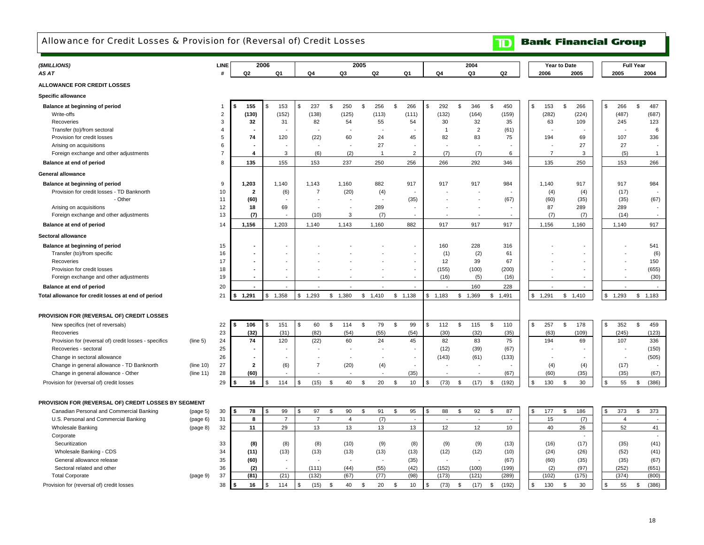### <span id="page-20-0"></span>Allowance for Credit Losses & Provision for (Reversal of) Credit Losses

## **TD** Bank Financial Group

| 2005<br>2006<br>(\$MILLIONS)<br>LINE<br>2004<br>Year to Date                                                                                                                                                                                           | <b>Full Year</b>                           |
|--------------------------------------------------------------------------------------------------------------------------------------------------------------------------------------------------------------------------------------------------------|--------------------------------------------|
| AS AT<br>Q <sub>2</sub><br>Q <sub>1</sub><br>Q <sub>4</sub><br>Q3<br>Q2<br>Q <sub>1</sub><br>Q3<br>Q <sub>2</sub><br>#<br>Q4<br>2006<br>2005                                                                                                           | 2005<br>2004                               |
| ALLOWANCE FOR CREDIT LOSSES                                                                                                                                                                                                                            |                                            |
| <b>Specific allowance</b>                                                                                                                                                                                                                              |                                            |
| 237<br>\$<br>250<br>256<br>266<br>292<br>346<br>\$<br>450<br>266<br>\$<br>Balance at beginning of period<br>155<br>153<br>\$<br>\$<br>\$<br>\$<br>\$<br>\$<br>153<br>\$<br>Ŝ.<br>\$                                                                    | 266<br>487<br>\$                           |
| (130)<br>(282)<br>Write-offs<br>$\overline{2}$<br>(152)<br>(138)<br>(125)<br>(113)<br>(111)<br>(132)<br>(164)<br>(159)<br>(224)                                                                                                                        | (487)<br>(687)                             |
| $\mathbf{3}$<br>32<br>82<br>54<br>55<br>54<br>30<br>32<br>35<br>Recoveries<br>31<br>63<br>109                                                                                                                                                          | 245<br>123                                 |
| $\overline{2}$<br>Transfer (to)/from sectoral<br>$\overline{4}$<br>$\overline{1}$<br>(61)                                                                                                                                                              | 6                                          |
| 5<br>74<br>60<br>24<br>82<br>83<br>75<br>Provision for credit losses<br>120<br>(22)<br>45<br>194<br>69                                                                                                                                                 | 107<br>336                                 |
| 6<br>27<br>27<br>Arising on acquisitions<br>$\overline{7}$<br>-1                                                                                                                                                                                       | 27                                         |
| Foreign exchange and other adjustments<br>$\overline{7}$<br>4<br>3<br>(6)<br>(2)<br>$\overline{2}$<br>(7)<br>(7)<br>3<br>6                                                                                                                             | (5)<br>$\mathbf{1}$                        |
| Balance at end of period<br>8<br>135<br>155<br>153<br>237<br>250<br>256<br>266<br>292<br>346<br>135<br>250                                                                                                                                             | 153<br>266                                 |
| <b>General allowance</b>                                                                                                                                                                                                                               |                                            |
| 917<br>9<br>1,203<br>1,140<br>1,143<br>1,160<br>882<br>917<br>917<br>984<br>1,140<br>Balance at beginning of period<br>917                                                                                                                             | 917<br>984                                 |
| 10<br>Provision for credit losses - TD Banknorth<br>$\overline{2}$<br>(6)<br>$\overline{7}$<br>(20)<br>(4)<br>(4)<br>(4)                                                                                                                               | (17)                                       |
| - Other<br>11<br>(60)<br>(35)<br>(67)<br>(60)<br>(35)<br>$\overline{\phantom{a}}$                                                                                                                                                                      | (35)<br>(67)                               |
| 12<br>289<br>18<br>87<br>289<br>Arising on acquisitions<br>69<br>$\sim$<br>÷,<br>÷,<br>13<br>(10)<br>3<br>(7)                                                                                                                                          | 289<br>(14)                                |
| Foreign exchange and other adjustments<br>(7)<br>(7)<br>(7)<br>1,156<br>917<br>1,156<br>14<br>1,203<br>1,140<br>1,143<br>1,160<br>882<br>917<br>917<br>1,160<br>Balance at end of period                                                               | 917<br>1,140                               |
|                                                                                                                                                                                                                                                        |                                            |
| Sectoral allowance                                                                                                                                                                                                                                     |                                            |
| Balance at beginning of period<br>160<br>228<br>316<br>15<br>$\overline{\phantom{a}}$                                                                                                                                                                  | 541                                        |
| (1)<br>(2)<br>61<br>Transfer (to)/from specific<br>16<br>٠<br>17<br>12<br>67<br>Recoveries<br>ä,                                                                                                                                                       | (6)                                        |
| 39<br>18<br>(155)<br>(100)<br>(200)<br>Provision for credit losses<br>٠<br>$\overline{\phantom{a}}$                                                                                                                                                    | 150<br>(655)                               |
| Foreign exchange and other adjustments<br>19<br>(16)<br>(5)<br>(16)                                                                                                                                                                                    | (30)                                       |
| 160<br>Balance at end of period<br>20<br>228<br>÷.                                                                                                                                                                                                     |                                            |
| 21<br>1,291<br>1,358<br>$\mathfrak s$<br>1,293<br>\$1,380<br>\$1,410<br>\$1,138<br>\$1,183<br>1,369<br>\$1,291<br>$\mathbb{S}$<br>1,410<br>Total allowance for credit losses at end of period<br>\$<br>\$<br>\$<br>\$1,491                             | 1,293<br>\$1,183<br>\$                     |
|                                                                                                                                                                                                                                                        |                                            |
| PROVISION FOR (REVERSAL OF) CREDIT LOSSES                                                                                                                                                                                                              |                                            |
| \$<br>114<br>\$<br>79<br>\$<br>99<br>\$<br>112<br>115<br>\$<br>\$<br>257<br>\$<br>178<br>\$<br>New specifics (net of reversals)<br>22<br>106<br>\$<br>151<br>\$<br>60<br>\$<br>110<br>\$                                                               | 352<br>\$<br>459                           |
| 23<br>(32)<br>(30)<br>(32)<br>(31)<br>(82)<br>(54)<br>(55)<br>(54)<br>(35)<br>(63)<br>(109)<br>Recoveries                                                                                                                                              | (245)<br>(123)                             |
| 24<br>74<br>120<br>(22)<br>60<br>24<br>45<br>82<br>83<br>75<br>194<br>69<br>Provision for (reversal of) credit losses - specifics<br>(line 5)                                                                                                          | 107<br>336                                 |
| 25<br>(12)<br>(39)<br>(67)<br>Recoveries - sectoral                                                                                                                                                                                                    | (150)                                      |
| 26<br>(143)<br>(133)<br>Change in sectoral allowance<br>(61)<br>$\blacksquare$<br>$\overline{\phantom{a}}$<br>$\overline{\phantom{a}}$<br>$\sim$                                                                                                       | (505)                                      |
| 27<br>(4)<br>Change in general allowance - TD Banknorth<br>(line 10)<br>$\overline{2}$<br>(6)<br>$\overline{7}$<br>(20)<br>(4)<br>(4)<br>$\overline{a}$                                                                                                | (17)                                       |
| 28<br>(60)<br>(35)<br>(67)<br>(60)<br>(35)<br>Change in general allowance - Other<br>(line 11)<br>$\blacksquare$<br>۰.                                                                                                                                 | (67)<br>(35)                               |
| 20<br>29<br>114<br>(15)<br>40<br>10<br>(73)<br>(17)<br>\$<br>\$<br>130<br>30<br>\$<br>Provision for (reversal of) credit losses<br>16<br>$\mathfrak{s}$<br>\$<br>\$<br>\$<br>\$<br>\$<br>\$<br>(192)<br>\$<br>Ŝ.                                       | 55<br>(386)<br>\$                          |
|                                                                                                                                                                                                                                                        |                                            |
| PROVISION FOR (REVERSAL OF) CREDIT LOSSES BY SEGMENT                                                                                                                                                                                                   |                                            |
| 95<br>87<br>\$<br>186<br>30<br>78<br>99<br>97<br>\$<br>90<br>\$<br>91<br>\$<br>\$<br>88<br>\$<br>92<br>\$<br>177<br>Canadian Personal and Commercial Banking<br>(page 5)<br>Ŝ.<br>\$.<br>.\$<br>-S                                                     | 373<br>373<br>\$                           |
| 31<br>8<br>$\overline{7}$<br>$\overline{4}$<br>(7)<br>15<br>(7)<br>U.S. Personal and Commercial Banking<br>$\overline{7}$<br>(page 6)<br>$\sim$<br>$\sim$<br>$\overline{\phantom{a}}$<br>$\sim$                                                        | $\overline{4}$<br>$\overline{\phantom{a}}$ |
| 13<br>13<br>12<br>40<br>32<br>11<br>29<br>13<br>13<br>12<br>10 <sup>1</sup><br>26<br><b>Wholesale Banking</b><br>(page 8)                                                                                                                              | 52<br>41                                   |
| Corporate                                                                                                                                                                                                                                              |                                            |
| (9)<br>(17)<br>33<br>(8)<br>(8)<br>(8)<br>(10)<br>(9)<br>(8)<br>(9)<br>(13)<br>(16)<br>Securitization                                                                                                                                                  | (41)<br>(35)                               |
| Wholesale Banking - CDS<br>34<br>(11)<br>(13)<br>(13)<br>(13)<br>(13)<br>(13)<br>(12)<br>(12)<br>(10)<br>(24)<br>(26)<br>35                                                                                                                            | (52)<br>(41)                               |
| (60)<br>(35)<br>(67)<br>(60)<br>(35)<br>General allowance release<br>÷,<br>$\overline{\phantom{a}}$<br>36                                                                                                                                              | (67)<br>(35)                               |
| (2)<br>(111)<br>(44)<br>(55)<br>(42)<br>(152)<br>(100)<br>(199)<br>(2)<br>(97)<br>Sectoral related and other<br>(81)<br>(21)<br>(132)<br>(98)<br>(173)<br>(121)<br>(102)<br>37<br>(67)<br>(77)<br>(289)<br>(175)<br><b>Total Corporate</b><br>(page 9) | (252)<br>(651)<br>(374)<br>(800)           |
| 38<br>16<br>114<br>40<br>20<br>10<br>(73)<br>130<br>30<br>\$<br>Ŝ.<br>\$<br>$\mathfrak{L}$<br>(15)<br>(17)<br>(192)<br>\$<br>Provision for (reversal of) credit losses<br>\$<br>$\mathfrak{s}$<br>$\mathfrak{L}$<br>\$<br>\$<br>\$<br>\$               | 55<br>(386)<br>$\mathfrak{L}$              |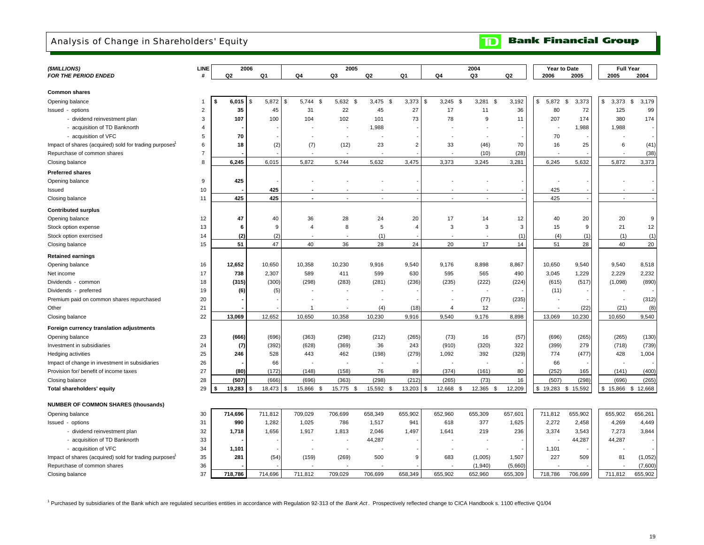### <span id="page-21-0"></span>Analysis of Change in Shareholders' Equity

**Bank Financial Group**  $\mathbf{D}$ 

| (\$MILLIONS)                                                       | LINE           |             | 2006               |                          | 2005                     |            |                |                          | 2004               |                    | Year to Date             |             | <b>Full Year</b>         |             |
|--------------------------------------------------------------------|----------------|-------------|--------------------|--------------------------|--------------------------|------------|----------------|--------------------------|--------------------|--------------------|--------------------------|-------------|--------------------------|-------------|
| <b>FOR THE PERIOD ENDED</b>                                        | #              | Q2          | Q1                 | Q4                       | Q3                       | Q2         | Q <sub>1</sub> | Q4                       | Q3                 | Q <sub>2</sub>     | 2006                     | 2005        | 2005                     | 2004        |
|                                                                    |                |             |                    |                          |                          |            |                |                          |                    |                    |                          |             |                          |             |
| <b>Common shares</b>                                               |                |             |                    |                          |                          |            |                |                          |                    |                    |                          |             |                          |             |
| Opening balance                                                    | -1             | 6,015<br>-S | 5,872<br><b>\$</b> | 5,744<br>\$<br>l Si      | 5,632 \$                 | $3,475$ \$ | 3,373          | 3,245<br>\$              | \$<br>3,281<br>\$  | 3,192              | \$<br>5,872              | \$<br>3,373 | \$<br>3,373              | \$<br>3,179 |
| Issued - options                                                   | $\overline{2}$ | 35          | 45                 | 31                       | 22                       | 45         | 27             | 17                       | 11                 | 36                 | 80                       | 72          | 125                      | 99          |
| - dividend reinvestment plan                                       | 3              | 107         | 100                | 104                      | 102                      | 101        | 73             | 78                       | 9                  | 11                 | 207                      | 174         | 380                      | 174         |
| - acquisition of TD Banknorth                                      | $\overline{4}$ |             |                    |                          |                          | 1,988      |                |                          |                    |                    |                          | 1,988       | 1,988                    |             |
|                                                                    | 5              | 70          |                    |                          |                          |            |                |                          |                    |                    | 70                       |             |                          |             |
| - acquisition of VFC                                               |                |             |                    |                          |                          |            |                |                          |                    |                    |                          |             |                          |             |
| Impact of shares (acquired) sold for trading purposes'             | 6              | 18          | (2)                | (7)                      | (12)                     | 23         | $\overline{2}$ | 33                       | (46)               | 70                 | 16                       | 25          | 6                        | (41)        |
| Repurchase of common shares                                        | $\overline{7}$ |             |                    |                          |                          |            |                |                          | (10)               | (28)               |                          |             |                          | (38)        |
| Closing balance                                                    | 8              | 6,245       | 6,015              | 5,872                    | 5,744                    | 5,632      | 3,475          | 3,373                    | 3,245              | 3,281              | 6,245                    | 5,632       | 5,872                    | 3,373       |
| <b>Preferred shares</b>                                            |                |             |                    |                          |                          |            |                |                          |                    |                    |                          |             |                          |             |
| Opening balance                                                    | 9              | 425         |                    |                          |                          |            |                |                          |                    |                    | $\overline{\phantom{a}}$ |             |                          |             |
| Issued                                                             | 10             |             | 425                |                          |                          |            |                |                          |                    |                    | 425                      |             |                          |             |
| Closing balance                                                    | 11             | 425         | 425                | $\blacksquare$           |                          | $\sim$     |                | ÷,                       |                    |                    | 425                      |             | $\overline{a}$           |             |
|                                                                    |                |             |                    |                          |                          |            |                |                          |                    |                    |                          |             |                          |             |
| <b>Contributed surplus</b>                                         |                |             |                    |                          |                          |            |                |                          |                    |                    |                          |             |                          |             |
| Opening balance                                                    | 12             | 47          | 40                 | 36                       | 28                       | 24         | 20             | 17                       | 14                 | 12                 | 40                       | 20          | 20                       | 9           |
| Stock option expense                                               | 13             | 6           | 9                  | 4                        | 8                        | 5          | $\overline{4}$ | 3                        | 3                  | 3                  | 15                       | 9           | 21                       | 12          |
| Stock option exercised                                             | 14             | (2)         | (2)                |                          |                          | (1)        |                |                          |                    | (1)                | (4)                      | (1)         | (1)                      | (1)         |
| Closing balance                                                    | 15             | 51          | 47                 | 40                       | 36                       | 28         | 24             | 20                       | 17                 | 14                 | 51                       | 28          | 40                       | 20          |
| <b>Retained earnings</b>                                           |                |             |                    |                          |                          |            |                |                          |                    |                    |                          |             |                          |             |
| Opening balance                                                    | 16             | 12,652      | 10,650             | 10,358                   | 10,230                   | 9,916      | 9,540          | 9,176                    | 8,898              | 8,867              | 10,650                   | 9,540       | 9,540                    | 8,518       |
| Net income                                                         | 17             | 738         | 2,307              | 589                      | 411                      | 599        | 630            | 595                      | 565                | 490                | 3,045                    | 1,229       | 2,229                    | 2,232       |
| Dividends - common                                                 | 18             | (315)       | (300)              | (298)                    | (283)                    | (281)      | (236)          | (235)                    | (222)              | (224)              | (615)                    | (517)       | (1,098)                  | (890)       |
|                                                                    | 19             |             |                    |                          |                          |            |                |                          |                    |                    |                          |             |                          |             |
| Dividends - preferred                                              |                | (6)         | (5)                |                          |                          |            |                |                          |                    |                    | (11)                     |             |                          |             |
| Premium paid on common shares repurchased                          | 20             |             |                    |                          |                          |            |                | $\overline{\phantom{a}}$ | (77)               | (235)              |                          |             | $\overline{\phantom{a}}$ | (312)       |
| Other                                                              | 21             |             |                    | -1                       |                          | (4)        | (18)           | $\overline{4}$           | 12                 |                    |                          | (22)        | (21)                     | (8)         |
| Closing balance                                                    | 22             | 13,069      | 12,652             | 10,650                   | 10,358                   | 10,230     | 9,916          | 9,540                    | 9,176              | 8,898              | 13,069                   | 10,230      | 10,650                   | 9,540       |
| Foreign currency translation adjustments                           |                |             |                    |                          |                          |            |                |                          |                    |                    |                          |             |                          |             |
| Opening balance                                                    | 23             | (666)       | (696)              | (363)                    | (298)                    | (212)      | (265)          | (73)                     | 16                 | (57)               | (696)                    | (265)       | (265)                    | (130)       |
| Investment in subsidiaries                                         | 24             | (7)         | (392)              | (628)                    | (369)                    | 36         | 243            | (910)                    | (320)              | 322                | (399)                    | 279         | (718)                    | (739)       |
| Hedging activities                                                 | 25             | 246         | 528                | 443                      | 462                      | (198)      | (279)          | 1,092                    | 392                | (329)              | 774                      | (477)       | 428                      | 1,004       |
| Impact of change in investment in subsidiaries                     | 26             |             | 66                 |                          |                          |            |                |                          |                    |                    | 66                       |             |                          |             |
| Provision for/ benefit of income taxes                             | 27             | (80)        | (172)              | (148)                    | (158)                    | 76         | 89             | (374)                    | (161)              | 80                 | (252)                    | 165         | (141)                    | (400)       |
| Closing balance                                                    | 28             | (507)       | (666)              | (696)                    | (363)                    | (298)      | (212)          | (265)                    | (73)               | 16                 | (507)                    | (298)       | (696)                    | (265)       |
|                                                                    | 29             | 19,283      | 18,473             | 15,866                   | 15,775<br>\$<br><b>S</b> | 15,592     | 13,203         | 12,668<br>\$             | 12,365<br>\$<br>\$ | 12,209             | 19,283<br>\$             | \$15,592    | 15,866<br>\$.            | \$12,668    |
| Total shareholders' equity                                         |                |             |                    |                          |                          | - \$       |                |                          |                    |                    |                          |             |                          |             |
| <b>NUMBER OF COMMON SHARES (thousands)</b>                         |                |             |                    |                          |                          |            |                |                          |                    |                    |                          |             |                          |             |
| Opening balance                                                    | 30             | 714,696     | 711,812            | 709,029                  | 706,699                  | 658,349    | 655,902        | 652,960                  | 655,309            | 657,601            | 711,812                  | 655,902     | 655,902                  | 656,261     |
| Issued - options                                                   | 31             | 990         | 1,282              | 1,025                    | 786                      | 1,517      | 941            | 618                      | 377                | 1,625              | 2,272                    | 2,458       | 4,269                    | 4,449       |
| - dividend reinvestment plan                                       | 32             | 1,718       | 1,656              | 1,917                    | 1,813                    | 2,046      | 1,497          | 1,641                    | 219                | 236                | 3,374                    | 3,543       | 7,273                    | 3,844       |
| - acquisition of TD Banknorth                                      | 33             |             |                    |                          |                          | 44,287     |                |                          |                    |                    |                          | 44,287      | 44,287                   |             |
| - acquisition of VFC                                               | 34             | 1,101       |                    | $\overline{\phantom{a}}$ |                          |            |                |                          |                    |                    | 1,101                    |             |                          |             |
| Impact of shares (acquired) sold for trading purposes <sup>1</sup> | 35             | 281         | (54)               | (159)                    | (269)                    | 500        | 9              | 683                      | (1,005)            | 1,507              | 227                      | 509         | 81                       | (1,052)     |
| Repurchase of common shares                                        | 36             |             |                    |                          |                          |            |                |                          | (1,940)            |                    |                          |             |                          | (7,600)     |
|                                                                    | 37             | 718.786     | 714.696            | 711.812                  | 709.029                  | 706.699    | 658.349        | 655.902                  | 652.960            | (5,660)<br>655.309 | 718.786                  | 706.699     | 711.812                  | 655.902     |
| Closing balance                                                    |                |             |                    |                          |                          |            |                |                          |                    |                    |                          |             |                          |             |

1 Purchased by subsidiaries of the Bank which are regulated securities entities in accordance with Regulation 92-313 of the *Bank Act* . Prospectively reflected change to CICA Handbook s. 1100 effective Q1/04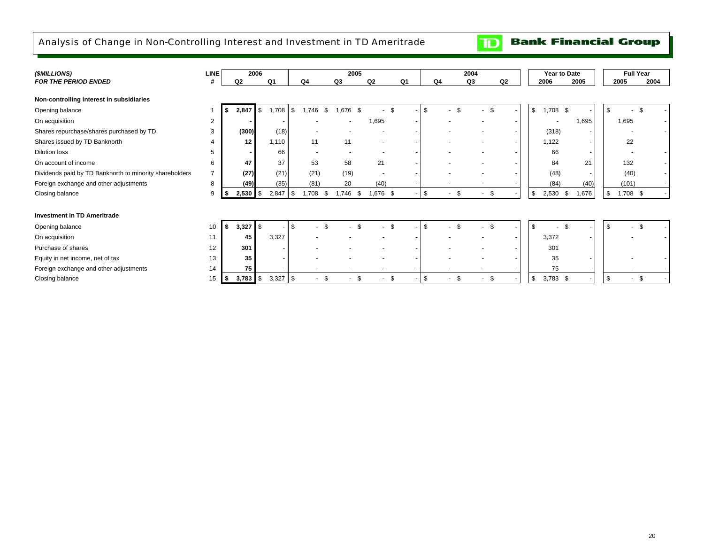### <span id="page-22-0"></span>Analysis of Change in Non-Controlling Interest and Investment in TD Ameritrade

**Bank Financial Group**  $\mathbf{D}$ 

| (\$MILLIONS)                                            | <b>LINE</b>    | 2006           |            |                  | 2005 |        |      |               |                           |     |                |            | 2004   |                          | Year to Date     |      |       |                | <b>Full Year</b> |      |  |
|---------------------------------------------------------|----------------|----------------|------------|------------------|------|--------|------|---------------|---------------------------|-----|----------------|------------|--------|--------------------------|------------------|------|-------|----------------|------------------|------|--|
| <b>FOR THE PERIOD ENDED</b>                             |                | Q <sub>2</sub> |            | Q1               |      | Q4     |      | Q3            | Q <sub>2</sub>            |     | Q <sub>1</sub> | Q4         | Q3     | Q <sub>2</sub>           | 2006             |      | 2005  |                | 2005             | 2004 |  |
| Non-controlling interest in subsidiaries                |                |                |            |                  |      |        |      |               |                           |     |                |            |        |                          |                  |      |       |                |                  |      |  |
| Opening balance                                         |                | 2,847          |            | \$<br>1,708      | \$   | .746   | -S   | 1,676<br>- \$ |                           | ۹.  |                | \$         |        |                          | \$<br>$1,708$ \$ |      |       |                |                  |      |  |
| On acquisition                                          | $\overline{2}$ |                |            |                  |      |        |      |               | 1,695                     |     |                |            |        | $\overline{\phantom{a}}$ |                  |      | 1,695 |                | 1,695            |      |  |
| Shares repurchase/shares purchased by TD                | 3              |                | (300)      | (18)             |      |        |      |               |                           |     |                |            |        | $\overline{\phantom{a}}$ | (318)            |      |       |                |                  |      |  |
| Shares issued by TD Banknorth                           |                |                | 12         | 1,110            |      | 11     |      | 11            |                           |     |                |            |        |                          | 1,122            |      |       |                | 22               |      |  |
| <b>Dilution loss</b>                                    | 5              |                |            | 66               |      |        |      |               |                           |     |                |            |        |                          | 66               |      |       |                | $\sim$           |      |  |
| On account of income                                    | 6              |                | 47         | 37               |      | 53     |      | 58            | 21                        |     |                |            |        |                          | 84               |      | 21    |                | 132              |      |  |
| Dividends paid by TD Banknorth to minority shareholders |                |                | (27)       | (21)             |      | (21)   |      | (19)          |                           |     |                |            |        |                          | (48)             |      |       |                | (40)             |      |  |
| Foreign exchange and other adjustments                  | 8              |                | (49)       | (35)             |      | (81)   |      | 20            | (40)                      |     |                |            |        |                          | (84)             |      | (40)  |                | (101)            |      |  |
| Closing balance                                         | 9              | 2,530<br>55    |            | \$<br>$2,847$ \$ |      | .708   | - \$ | 1,746         | .676 <sup>5</sup><br>- \$ |     | $\sim$ .       | \$<br>- \$ | $\sim$ | - \$                     | 2,530<br>\$      | - \$ | 1,676 | $\mathfrak{F}$ | $1,708$ \$       |      |  |
|                                                         |                |                |            |                  |      |        |      |               |                           |     |                |            |        |                          |                  |      |       |                |                  |      |  |
| <b>Investment in TD Ameritrade</b>                      |                |                |            |                  |      |        |      |               |                           |     |                |            |        |                          |                  |      |       |                |                  |      |  |
| Opening balance                                         | 10             | -S             | $3,327$ \$ |                  | \$   |        |      |               |                           |     |                |            |        |                          | -S               | \$.  |       |                |                  |      |  |
| On acquisition                                          | 11             |                | 45         | 3,327            |      |        |      |               |                           |     |                |            |        | $\overline{\phantom{a}}$ | 3,372            |      |       |                |                  |      |  |
| Purchase of shares                                      | 12             |                | 301        |                  |      |        |      |               |                           |     |                |            |        |                          | 301              |      |       |                |                  |      |  |
| Equity in net income, net of tax                        | 13             |                | 35         |                  |      |        |      |               |                           |     |                |            |        |                          | 35               |      |       |                |                  |      |  |
| Foreign exchange and other adjustments                  | 14             |                | 75         |                  |      |        |      |               |                           |     |                |            |        |                          | 75               |      |       |                |                  |      |  |
| Closing balance                                         | 15             | - 55           | $3,783$ \$ | $3,327$ \$       |      | $\sim$ | - \$ |               | \$                        | -\$ |                | \$<br>- \$ |        | - \$                     | \$<br>$3,783$ \$ |      |       | - \$           |                  | \$.  |  |